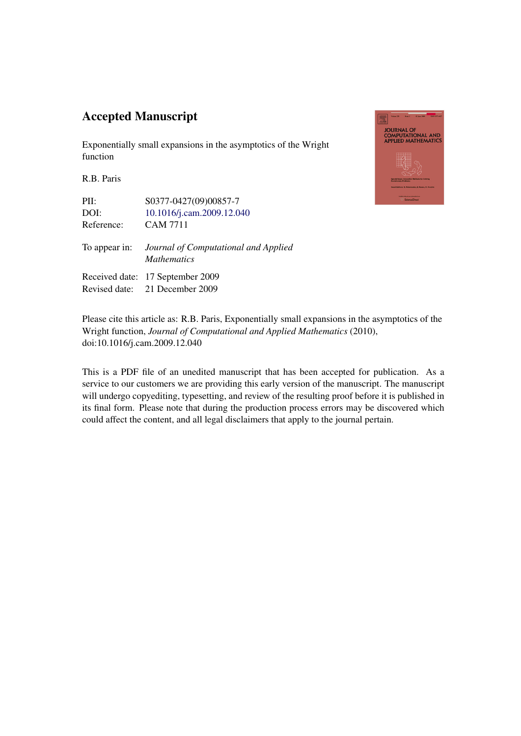# Accepted Manuscript

Exponentially small expansions in the asymptotics of the Wright function

R.B. Paris

| PII:          | S0377-0427(09)00857-7          |
|---------------|--------------------------------|
| DOI:          | 10.1016/j.cam.2009.12.040      |
| Reference:    | <b>CAM 7711</b>                |
| To appear in: | Journal of Computational and A |

To appear in: *Journal of Computational and Applied Mathematics* Received date: 17 September 2009

Revised date: 21 December 2009



Please cite this article as: R.B. Paris, Exponentially small expansions in the asymptotics of the Wright function, *Journal of Computational and Applied Mathematics* (2010), doi:10.1016/j.cam.2009.12.040

This is a PDF file of an unedited manuscript that has been accepted for publication. As a service to our customers we are providing this early version of the manuscript. The manuscript will undergo copyediting, typesetting, and review of the resulting proof before it is published in its final form. Please note that during the production process errors may be discovered which could affect the content, and all legal disclaimers that apply to the journal pertain.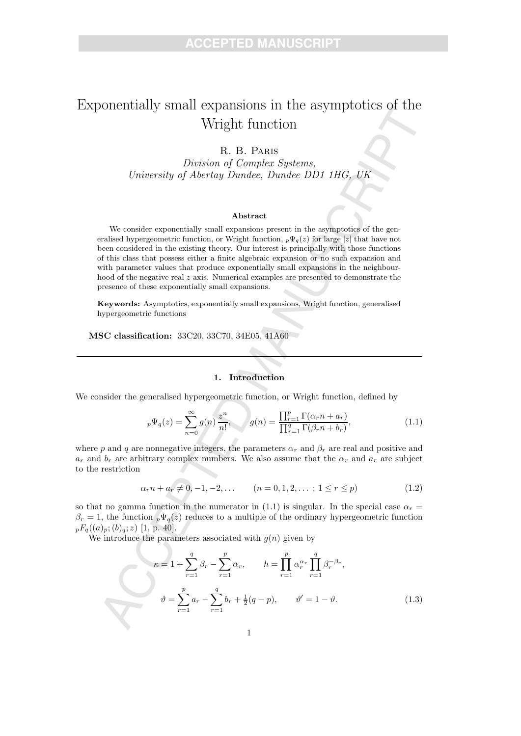# Exponentially small expansions in the asymptotics of the Wright function

## R. B. Paris

Division of Complex Systems, University of Abertay Dundee, Dundee DD1 1HG, UK

### Abstract

We consider exponentially small expansions present in the asymptotics of the generalised hypergeometric function, or Wright function,  ${}_{p}\Psi_{q}(z)$  for large  $|z|$  that have not been considered in the existing theory. Our interest is principally with those functions of this class that possess either a finite algebraic expansion or no such expansion and with parameter values that produce exponentially small expansions in the neighbourhood of the negative real z axis. Numerical examples are presented to demonstrate the presence of these exponentially small expansions.

Keywords: Asymptotics, exponentially small expansions, Wright function, generalised hypergeometric functions

MSC classification: 33C20, 33C70, 34E05, 41A60

## 1. Introduction

We consider the generalised hypergeometric function, or Wright function, defined by

$$
{}_{p}\Psi_{q}(z) = \sum_{n=0}^{\infty} g(n) \frac{z^{n}}{n!}, \qquad g(n) = \frac{\prod_{r=1}^{p} \Gamma(\alpha_{r} n + a_{r})}{\prod_{r=1}^{q} \Gamma(\beta_{r} n + b_{r})},
$$
\n(1.1)

where p and q are nonnegative integers, the parameters  $\alpha_r$  and  $\beta_r$  are real and positive and  $a_r$  and  $b_r$  are arbitrary complex numbers. We also assume that the  $\alpha_r$  and  $a_r$  are subject to the restriction

$$
\alpha_r n + a_r \neq 0, -1, -2, \dots \qquad (n = 0, 1, 2, \dots; 1 \le r \le p)
$$
\n
$$
(1.2)
$$

so that no gamma function in the numerator in (1.1) is singular. In the special case  $\alpha_r =$  $\beta_r = 1$ , the function  $p\Psi_q(z)$  reduces to a multiple of the ordinary hypergeometric function  ${}_{p}F_{q}((a)_{p};(b)_{q};z)$  [1, p. 40].

We introduce the parameters associated with  $g(n)$  given by

ACCEPTED MANUSCRIPT <sup>κ</sup> = 1 +X<sup>q</sup> r=1 β<sup>r</sup> − Xp r=1 αr, h = Yp r=1 α α<sup>r</sup> r Yq r=1 β −β<sup>r</sup> r , ϑ = Xp r=1 a<sup>r</sup> − Xq r=1 b<sup>r</sup> + 1 2 (q − p), ϑ′ = 1 − ϑ. (1.3)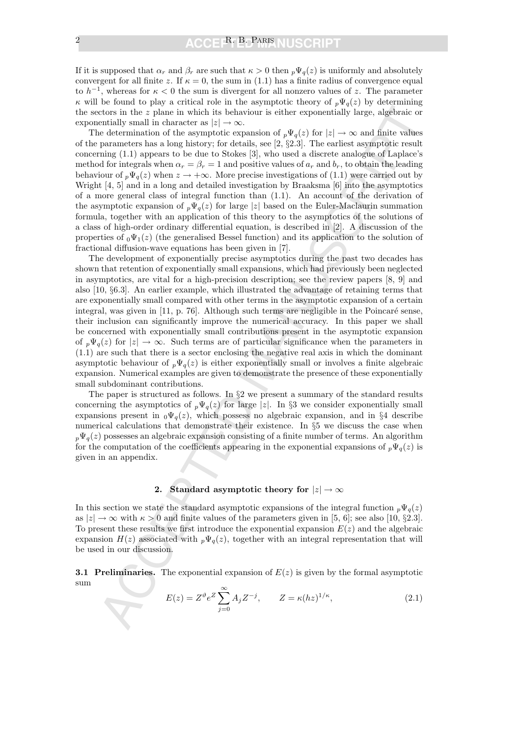If it is supposed that  $\alpha_r$  and  $\beta_r$  are such that  $\kappa > 0$  then  $p\Psi_q(z)$  is uniformly and absolutely convergent for all finite z. If  $\kappa = 0$ , the sum in (1.1) has a finite radius of convergence equal to  $h^{-1}$ , whereas for  $\kappa < 0$  the sum is divergent for all nonzero values of z. The parameter κ will be found to play a critical role in the asymptotic theory of  $p\Psi_q(z)$  by determining the sectors in the z plane in which its behaviour is either exponentially large, algebraic or exponentially small in character as  $|z| \to \infty$ .

The determination of the asymptotic expansion of  $_p\Psi_q(z)$  for  $|z| \to \infty$  and finite values of the parameters has a long history; for details, see [2, §2.3]. The earliest asymptotic result concerning (1.1) appears to be due to Stokes [3], who used a discrete analogue of Laplace's method for integrals when  $\alpha_r = \beta_r = 1$  and positive values of  $a_r$  and  $b_r$ , to obtain the leading behaviour of  $_p\Psi_q(z)$  when  $z \to +\infty$ . More precise investigations of (1.1) were carried out by Wright [4, 5] and in a long and detailed investigation by Braaksma [6] into the asymptotics of a more general class of integral function than (1.1). An account of the derivation of the asymptotic expansion of  $p\Psi_q(z)$  for large |z| based on the Euler-Maclaurin summation formula, together with an application of this theory to the asymptotics of the solutions of a class of high-order ordinary differential equation, is described in [2]. A discussion of the properties of  $_0\Psi_1(z)$  (the generalised Bessel function) and its application to the solution of fractional diffusion-wave equations has been given in [7].

tens in the x phane in which its behaviour is either exponentially herg, algebraic or<br>studiy small in character as  $|z| \rightarrow \infty$ .<br>entially small in character as  $|z| \rightarrow \infty$ .<br>entially small in character as long history, for de The development of exponentially precise asymptotics during the past two decades has shown that retention of exponentially small expansions, which had previously been neglected in asymptotics, are vital for a high-precision description; see the review papers [8, 9] and also [10, §6.3]. An earlier example, which illustrated the advantage of retaining terms that are exponentially small compared with other terms in the asymptotic expansion of a certain integral, was given in  $[11, p. 76]$ . Although such terms are negligible in the Poincaré sense, their inclusion can significantly improve the numerical accuracy. In this paper we shall be concerned with exponentially small contributions present in the asymptotic expansion of  $p\Psi_q(z)$  for  $|z| \to \infty$ . Such terms are of particular significance when the parameters in (1.1) are such that there is a sector enclosing the negative real axis in which the dominant asymptotic behaviour of  $_p\Psi_q(z)$  is either exponentially small or involves a finite algebraic expansion. Numerical examples are given to demonstrate the presence of these exponentially small subdominant contributions.

The paper is structured as follows. In  $\S2$  we present a summary of the standard results concerning the asymptotics of  $p\Psi_q(z)$  for large |z|. In §3 we consider exponentially small expansions present in  $_0\Psi_q(z)$ , which possess no algebraic expansion, and in §4 describe numerical calculations that demonstrate their existence. In §5 we discuss the case when  $p\Psi_q(z)$  possesses an algebraic expansion consisting of a finite number of terms. An algorithm for the computation of the coefficients appearing in the exponential expansions of  $_p\Psi_q(z)$  is given in an appendix.

## 2. Standard asymptotic theory for  $|z| \to \infty$

In this section we state the standard asymptotic expansions of the integral function  $p\Psi_q(z)$ as  $|z| \to \infty$  with  $\kappa > 0$  and finite values of the parameters given in [5, 6]; see also [10, §2.3]. To present these results we first introduce the exponential expansion  $E(z)$  and the algebraic expansion  $H(z)$  associated with  $p\Psi_q(z)$ , together with an integral representation that will be used in our discussion.

**3.1 Preliminaries.** The exponential expansion of  $E(z)$  is given by the formal asymptotic sum

$$
E(z) = Z^{\vartheta} e^Z \sum_{j=0}^{\infty} A_j Z^{-j}, \qquad Z = \kappa (hz)^{1/\kappa}, \tag{2.1}
$$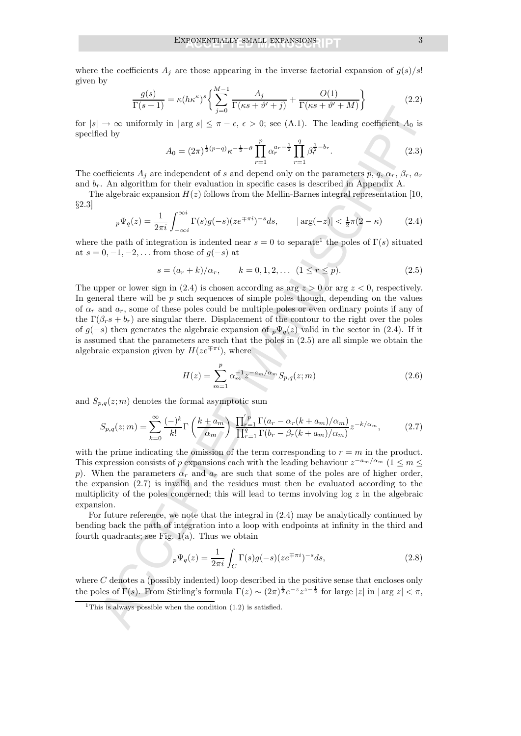where the coefficients  $A_j$  are those appearing in the inverse factorial expansion of  $g(s)/s!$ given by

$$
\frac{g(s)}{\Gamma(s+1)} = \kappa (h\kappa^{\kappa})^s \left\{ \sum_{j=0}^{M-1} \frac{A_j}{\Gamma(\kappa s + \vartheta' + j)} + \frac{O(1)}{\Gamma(\kappa s + \vartheta' + M)} \right\}
$$
(2.2)

for  $|s| \to \infty$  uniformly in  $|\arg s| \leq \pi - \epsilon$ ,  $\epsilon > 0$ ; see (A.1). The leading coefficient  $A_0$  is specified by

$$
A_0 = (2\pi)^{\frac{1}{2}(p-q)} \kappa^{-\frac{1}{2}-\vartheta} \prod_{r=1}^p \alpha_r^{a_r - \frac{1}{2}} \prod_{r=1}^q \beta_r^{\frac{1}{2}-b_r}.
$$
 (2.3)

The coefficients  $A_i$  are independent of s and depend only on the parameters p, q,  $\alpha_r$ ,  $\beta_r$ ,  $a_r$ and  $b_r$ . An algorithm for their evaluation in specific cases is described in Appendix A.

The algebraic expansion  $H(z)$  follows from the Mellin-Barnes integral representation [10, §2.3]

$$
{}_{p}\Psi_{q}(z) = \frac{1}{2\pi i} \int_{-\infty i}^{\infty i} \Gamma(s)g(-s)(ze^{\mp \pi i})^{-s}ds, \qquad |\arg(-z)| < \frac{1}{2}\pi(2-\kappa) \tag{2.4}
$$

where the path of integration is indented near  $s = 0$  to separate<sup>1</sup> the poles of  $\Gamma(s)$  situated at  $s = 0, -1, -2, \ldots$  from those of  $g(-s)$  at

$$
s = (a_r + k)/\alpha_r, \qquad k = 0, 1, 2, \dots \ (1 \le r \le p). \tag{2.5}
$$

1 ( $\mathbf{r} = -\mathbf{r}$ ) ( $\mathbf{r} = -\mathbf{r}$ ) ( $\mathbf{r} = -\mathbf{r}$ ) ( $\mathbf{r} = -\mathbf{r}$ ) ( $\mathbf{r} = -\mathbf{r}$ )) ( $\mathbf{r} = -\mathbf{r}$ ) ( $\mathbf{r} = -\mathbf{r}$ ) ( $\mathbf{r} = -\mathbf{r}$ ) ( $\mathbf{r} = -\mathbf{r}$ ) ( $\mathbf{r} = -\mathbf{r}$ )) ( $\mathbf{r} = -\mathbf{r}$ ) ( $\mathbf{r}$ The upper or lower sign in (2.4) is chosen according as arg  $z > 0$  or arg  $z < 0$ , respectively. In general there will be  $p$  such sequences of simple poles though, depending on the values of  $\alpha_r$  and  $a_r$ , some of these poles could be multiple poles or even ordinary points if any of the  $\Gamma(\beta_r s + b_r)$  are singular there. Displacement of the contour to the right over the poles of  $g(-s)$  then generates the algebraic expansion of  $_p\Psi_q(z)$  valid in the sector in (2.4). If it is assumed that the parameters are such that the poles in (2.5) are all simple we obtain the algebraic expansion given by  $H(ze^{\pm \pi i})$ , where

$$
H(z) = \sum_{m=1}^{p} \alpha_m^{-1} z^{-a_m/\alpha_m} S_{p,q}(z;m)
$$
 (2.6)

and  $S_{p,q}(z;m)$  denotes the formal asymptotic sum

$$
S_{p,q}(z;m) = \sum_{k=0}^{\infty} \frac{(-)^k}{k!} \Gamma\left(\frac{k+a_m}{\alpha_m}\right) \frac{\prod_{r=1}^{\prime p} \Gamma(a_r - \alpha_r(k+a_m)/\alpha_m)}{\prod_{r=1}^q \Gamma(b_r - \beta_r(k+a_m)/\alpha_m)} z^{-k/\alpha_m},\tag{2.7}
$$

with the prime indicating the omission of the term corresponding to  $r = m$  in the product. This expression consists of p expansions each with the leading behaviour  $z^{-a_m/\alpha_m}$  (1 ≤ m ≤ p). When the parameters  $\alpha_r$  and  $a_r$  are such that some of the poles are of higher order, the expansion (2.7) is invalid and the residues must then be evaluated according to the multiplicity of the poles concerned; this will lead to terms involving  $\log z$  in the algebraic expansion.

For future reference, we note that the integral in (2.4) may be analytically continued by bending back the path of integration into a loop with endpoints at infinity in the third and fourth quadrants; see Fig.  $1(a)$ . Thus we obtain

$$
\rho \Psi_q(z) = \frac{1}{2\pi i} \int_C \Gamma(s) g(-s) (ze^{\mp \pi i})^{-s} ds,
$$
\n(2.8)

where  $C$  denotes a (possibly indented) loop described in the positive sense that encloses only the poles of  $\Gamma(s)$ . From Stirling's formula  $\Gamma(z) \sim (2\pi)^{\frac{1}{2}} e^{-z} z^{z-\frac{1}{2}}$  for large  $|z|$  in  $|\arg z| < \pi$ ,

<sup>&</sup>lt;sup>1</sup>This is always possible when the condition  $(1.2)$  is satisfied.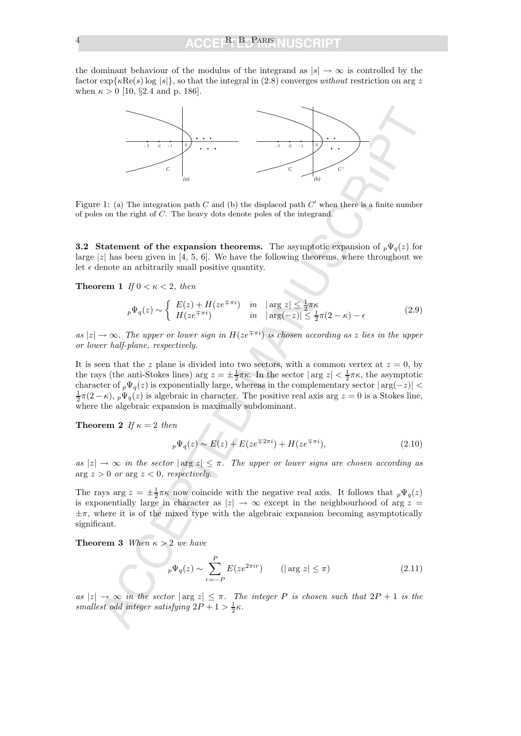the dominant behaviour of the modulus of the integrand as  $|s| \to \infty$  is controlled by the factor  $\exp{\kappa \text{Re}(s) \log |s|}$ , so that the integral in (2.8) converges without restriction on arg z when  $\kappa > 0$  [10, §2.4 and p. 186].



Figure 1: (a) The integration path  $C$  and (b) the displaced path  $C'$  when there is a finite number of poles on the right of C. The heavy dots denote poles of the integrand.

**3.2 Statement of the expansion theorems.** The asymptotic expansion of  $_p\Psi_q(z)$  for large  $|z|$  has been given in [4, 5, 6]. We have the following theorems, where throughout we let  $\epsilon$  denote an arbitrarily small positive quantity.

**Theorem 1** If  $0 < \kappa < 2$ , then

$$
{}_{p}\Psi_{q}(z) \sim \begin{cases} E(z) + H(ze^{\mp \pi i}) & \text{in} \quad |\arg z| \le \frac{1}{2}\pi\kappa \\ H(ze^{\mp \pi i}) & \text{in} \quad |\arg(-z)| \le \frac{1}{2}\pi(2-\kappa) - \epsilon \end{cases}
$$
(2.9)

as  $|z| \to \infty$ . The upper or lower sign in  $H(ze^{\pm \pi i})$  is chosen according as z lies in the upper or lower half-plane, respectively.

It is seen that the z plane is divided into two sectors, with a common vertex at  $z = 0$ , by the rays (the anti-Stokes lines) arg  $z = \pm \frac{1}{2}\pi\kappa$ . In the sector  $|\arg z| < \frac{1}{2}\pi\kappa$ , the asymptotic character of  $p\Psi_q(z)$  is exponentially large, whereas in the complementary sector  $|\arg(-z)|$  $\frac{1}{2}\pi(2-\kappa)$ ,  $p\Psi_q(z)$  is algebraic in character. The positive real axis arg  $z=0$  is a Stokes line, where the algebraic expansion is maximally subdominant.

**Theorem 2** If  $\kappa = 2$  then

$$
{}_{p}\Psi_{q}(z) \sim E(z) + E(ze^{\mp 2\pi i}) + H(ze^{\mp \pi i}), \tag{2.10}
$$

as  $|z| \to \infty$  in the sector  $|\arg z| \leq \pi$ . The upper or lower signs are chosen according as  $\arg z > 0$  or  $\arg z < 0$ , respectively.

The rays arg  $z = \pm \frac{1}{2}\pi\kappa$  now coincide with the negative real axis. It follows that  ${}_{p}\Psi_{q}(z)$ is exponentially large in character as  $|z| \to \infty$  except in the neighbourhood of arg z =  $\pm\pi$ , where it is of the mixed type with the algebraic expansion becoming asymptotically significant.

**Theorem 3** When  $\kappa > 2$  we have

$$
\nu_p \Psi_q(z) \sim \sum_{r=-P}^{P} E(ze^{2\pi ir}) \qquad (|\arg z| \le \pi)
$$
 (2.11)

as  $|z| \to \infty$  in the sector  $|\arg z| \leq \pi$ . The integer P is chosen such that  $2P + 1$  is the smallest odd integer satisfying  $2P + 1 > \frac{1}{2}\kappa$ .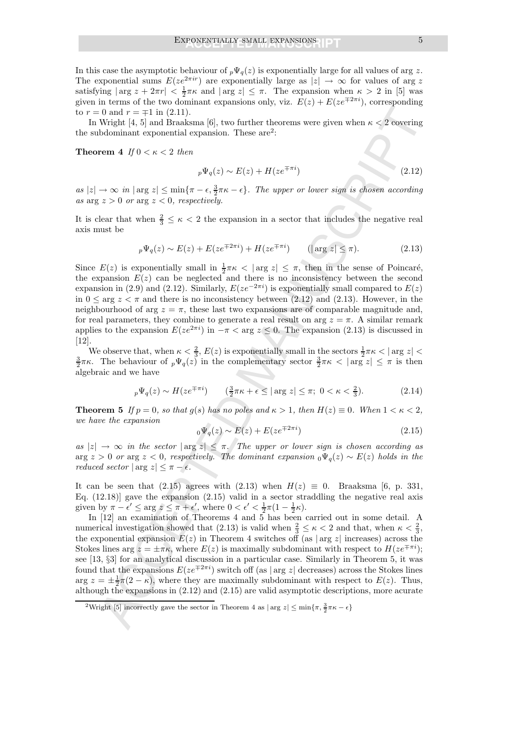In this case the asymptotic behaviour of  $p\Psi_q(z)$  is exponentially large for all values of arg z. The exponential sums  $E(ze^{2\pi i r})$  are exponentially large as  $|z| \to \infty$  for values of arg z satisfying  $|\arg z + 2\pi r| < \frac{1}{2}\pi\kappa$  and  $|\arg z| \leq \pi$ . The expansion when  $\kappa > 2$  in [5] was given in terms of the two dominant expansions only, viz.  $E(z) + E(ze^{\mp 2\pi i})$ , corresponding to  $r = 0$  and  $r = \pm 1$  in (2.11).

In Wright [4, 5] and Braaksma [6], two further theorems were given when  $\kappa < 2$  covering the subdominant exponential expansion. These  $are^2$ :

**Theorem 4** If  $0 < \kappa < 2$  then

$$
{}_{p}\Psi_{q}(z) \sim E(z) + H(ze^{\mp \pi i})
$$
\n(2.12)

as  $|z| \to \infty$  in  $|\arg z| \le \min\{\pi - \epsilon, \frac{3}{2}\pi\kappa - \epsilon\}.$  The upper or lower sign is chosen according as arg  $z > 0$  or arg  $z < 0$ , respectively.

It is clear that when  $\frac{2}{3} \leq \kappa < 2$  the expansion in a sector that includes the negative real axis must be

$$
{}_{p}\Psi_{q}(z) \sim E(z) + E(ze^{\mp 2\pi i}) + H(ze^{\mp \pi i}) \qquad (|\arg z| \le \pi). \tag{2.13}
$$

Since  $E(z)$  is exponentially small in  $\frac{1}{2}\pi\kappa < |\arg z| \leq \pi$ , then in the sense of Poincaré, the expansion  $E(z)$  can be neglected and there is no inconsistency between the second expansion in (2.9) and (2.12). Similarly,  $E(ze^{-2\pi i})$  is exponentially small compared to  $E(z)$ in  $0 \le \arg z \le \pi$  and there is no inconsistency between  $(2.12)$  and  $(2.13)$ . However, in the neighbourhood of arg  $z = \pi$ , these last two expansions are of comparable magnitude and, for real parameters, they combine to generate a real result on arg  $z = \pi$ . A similar remark applies to the expansion  $E(ze^{2\pi i})$  in  $-\pi < \arg z \leq 0$ . The expansion (2.13) is discussed in [12].

We observe that, when  $\kappa < \frac{2}{3}$ ,  $E(z)$  is exponentially small in the sectors  $\frac{1}{2}\pi\kappa < |\arg z| <$  $\frac{3}{2}\pi\kappa$ . The behaviour of  ${}_{p}\Psi_{q}(z)$  in the complementary sector  $\frac{3}{2}\pi\kappa < |\arg z| \leq \pi$  is then algebraic and we have

$$
{}_{p}\Psi_{q}(z) \sim H(ze^{\mp \pi i}) \qquad \left(\frac{3}{2}\pi\kappa + \epsilon \le |\arg z| \le \pi; \ 0 < \kappa < \frac{2}{3}\right). \tag{2.14}
$$

**Theorem 5** If  $p = 0$ , so that  $q(s)$  has no poles and  $\kappa > 1$ , then  $H(z) \equiv 0$ . When  $1 < \kappa < 2$ , we have the expansion

$$
{}_{0}\Psi_{q}(z) \sim E(z) + E(ze^{\mp 2\pi i})
$$
\n(2.15)

as  $|z| \to \infty$  in the sector  $|\arg z| \leq \pi$ . The upper or lower sign is chosen according as arg  $z > 0$  or arg  $z < 0$ , respectively. The dominant expansion  ${}_0\Psi_q(z) \sim E(z)$  holds in the *reduced sector*  $|\arg z| \leq \pi - \epsilon$ .

It can be seen that (2.15) agrees with (2.13) when  $H(z) \equiv 0$ . Braaksma [6, p. 331, Eq. (12.18)] gave the expansion (2.15) valid in a sector straddling the negative real axis given by  $\pi - \epsilon' \le \arg z \le \pi + \epsilon'$ , where  $0 < \epsilon' < \frac{1}{2}\pi(1 - \frac{1}{2}\kappa)$ .

0 and  $x = \pm 1$  in (2.11).<br>
Singlet [4, 8] and Brashman [6], two further theorems were given when  $\kappa < 2$  covering<br>
behaviour separation (1.12) and  $\kappa > 2$  ( $\kappa < 2$ ) the space of  $\kappa > 2$  ( $\kappa < 2$ ) (2.12)<br>  $\kappa > 0$  and In [12] an examination of Theorems 4 and 5 has been carried out in some detail. A numerical investigation showed that (2.13) is valid when  $\frac{2}{3} \leq \kappa < 2$  and that, when  $\kappa < \frac{2}{3}$ , the exponential expansion  $E(z)$  in Theorem 4 switches off (as | arg z| increases) across the Stokes lines arg  $z = \pm \pi \kappa$ , where  $E(z)$  is maximally subdominant with respect to  $H(ze^{\mp \pi i})$ ; see [13, §3] for an analytical discussion in a particular case. Similarly in Theorem 5, it was found that the expansions  $E(ze^{\mp 2\pi i})$  switch off (as | arg z| decreases) across the Stokes lines arg  $z = \pm \frac{1}{2}\pi(2 - \kappa)$ , where they are maximally subdominant with respect to  $E(z)$ . Thus, although the expansions in (2.12) and (2.15) are valid asymptotic descriptions, more acurate

<sup>&</sup>lt;sup>2</sup>Wright [5] incorrectly gave the sector in Theorem 4 as  $|\arg z| \le \min\{\pi, \frac{3}{2}\pi\kappa - \epsilon\}$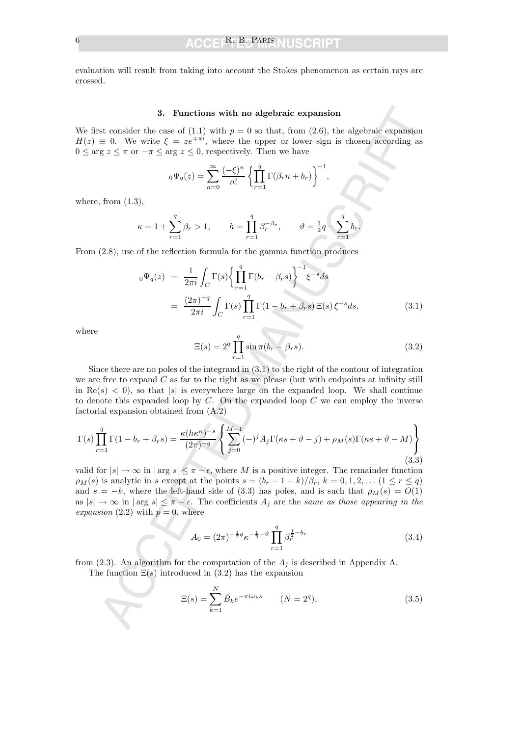evaluation will result from taking into account the Stokes phenomenon as certain rays are crossed.

#### 3. Functions with no algebraic expansion

We first consider the case of  $(1.1)$  with  $p = 0$  so that, from  $(2.6)$ , the algebraic expansion  $H(z) \equiv 0$ . We write  $\xi = ze^{\mp \pi i}$ , where the upper or lower sign is chosen according as  $0 \leq \arg z \leq \pi$  or  $-\pi \leq \arg z \leq 0$ , respectively. Then we have

$$
{}_0\Psi_q(z) = \sum_{n=0}^{\infty} \frac{(-\xi)^n}{n!} \left\{ \prod_{r=1}^q \Gamma(\beta_r n + b_r) \right\}^{-1},
$$

where, from  $(1.3)$ ,

$$
\kappa = 1 + \sum_{r=1}^{q} \beta_r > 1,
$$
\n $h = \prod_{r=1}^{q} \beta_r^{-\beta_r},$ \n $\vartheta = \frac{1}{2}q - \sum_{r=1}^{q} b_r.$ 

From (2.8), use of the reflection formula for the gamma function produces

3. Functions with no algebraic expansion  
\nst consider the case of (1.1) with 
$$
p = 0
$$
 so that, from (2.6), the algebraic expansion  
\n $\equiv 0$ . We write  $\xi = ze^{\mp i}$ , where the upper or lower sign is chosen according as  
\n $g z \leq \pi$  or  $-\pi \leq \arg z \leq 0$ , respectively. Then we have  
\n
$$
\sigma \Psi_q(z) = \sum_{n=0}^{\infty} \frac{(-\xi)^n}{n!} \left\{ \prod_{r=1}^{q} \Gamma(\beta_r n + b_r) \right\}^{-1},
$$
\nfrom (1.3),  
\n
$$
\kappa = 1 + \sum_{r=1}^{q} \beta_r > 1, \qquad h = \prod_{r=1}^{q} \beta_r^{-\beta_r}, \qquad \vartheta = \frac{1}{2}q - \sum_{r=1}^{q} b_r.
$$
\n(2.8), use of the reflection formula for the gamma function produces  
\n
$$
\sigma \Psi_q(z) = \frac{1}{2\pi i} \int_C \Gamma(s) \left\{ \prod_{r=1}^{q} \Gamma(b_r - \beta_r s) \right\}^{-1} \xi^{-s} ds
$$
\n
$$
= \frac{(2\pi)^{-q}}{2\pi i} \int_C \Gamma(s) \prod_{r=1}^{q} \Gamma(1 - b_r + \beta_r s) \Xi(s) \xi^{-s} ds, \qquad (3.1)
$$
\n
$$
\Xi(s) = 2^q \prod_{r=1}^{q} \sin \pi(b_r - \beta_r s).
$$
\n(3.2)  
\nacc there are no poles of the integrand in (3.1) to the right of the contour of integration  
\nfree to expand C as far to the right as we please (but with endpoints at infinity still  
\n(s) < 0, so that |s| is everywhere large on the expanded loop. We shall continue  
\nside this expanded loop by C. On the expanded loop. We shall continue  
\nside expansion obtained from (A.2)  
\n
$$
\prod_{r=1}^{q} \Gamma(1 - b_r + \beta_r s) = \frac{\kappa(h\kappa^n)^{-s}}{(2\pi)^{-q}} \sum_{j=0}^{M-1} (-j \lambda_j \Gamma(\kappa s + \vartheta - j) + \rho_M(s) \Gamma(\kappa s + \vartheta - M) \begin{cases} 3.3 \\ 3.3 \end{cases}
$$
\nfor  $|s| \to \infty$  in  $|\arg s| \leq \pi - \epsilon$ , where M is a positive

where

$$
\Xi(s) = 2^q \prod_{r=1}^q \sin \pi (b_r - \beta_r s). \tag{3.2}
$$

Since there are no poles of the integrand in (3.1) to the right of the contour of integration we are free to expand  $C$  as far to the right as we please (but with endpoints at infinity still in  $\text{Re}(s) < 0$ , so that |s| is everywhere large on the expanded loop. We shall continue to denote this expanded loop by  $C$ . On the expanded loop  $C$  we can employ the inverse factorial expansion obtained from (A.2)

$$
\Gamma(s) \prod_{r=1}^{q} \Gamma(1 - b_r + \beta_r s) = \frac{\kappa(h\kappa^{\kappa})^{-s}}{(2\pi)^{-q}} \left\{ \sum_{j=0}^{M-1} (-)^j A_j \Gamma(\kappa s + \vartheta - j) + \rho_M(s) \Gamma(\kappa s + \vartheta - M) \right\}
$$
\n(3.3)

valid for  $|s| \to \infty$  in  $|\arg s| \leq \pi - \epsilon$ , where M is a positive integer. The remainder function  $\rho_M(s)$  is analytic in s except at the points  $s = (b_r - 1 - k)/\beta_r$ ,  $k = 0, 1, 2, \dots$   $(1 \le r \le q)$ and  $s = -k$ , where the left-hand side of (3.3) has poles, and is such that  $\rho_M(s) = O(1)$ as  $|s| \to \infty$  in  $|\arg s| \leq \pi - \epsilon$ . The coefficients  $A_i$  are the same as those appearing in the expansion (2.2) with  $p = 0$ , where

$$
A_0 = (2\pi)^{-\frac{1}{2}q} \kappa^{-\frac{1}{2} - \vartheta} \prod_{r=1}^q \beta_r^{\frac{1}{2} - b_r}
$$
 (3.4)

from (2.3). An algorithm for the computation of the  $A_j$  is described in Appendix A.

The function  $\Xi(s)$  introduced in (3.2) has the expansion

$$
\Xi(s) = \sum_{k=1}^{N} \hat{B}_k e^{-\pi i \omega_k s} \qquad (N = 2^q),
$$
\n(3.5)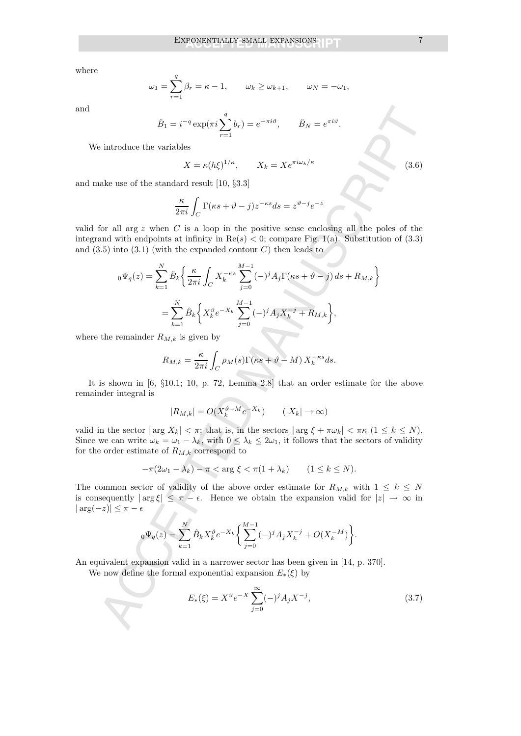where

$$
\omega_1 = \sum_{r=1}^q \beta_r = \kappa - 1, \qquad \omega_k \ge \omega_{k+1}, \qquad \omega_N = -\omega_1,
$$

and

$$
\hat{B}_1 = i^{-q} \exp(\pi i \sum_{r=1}^q b_r) = e^{-\pi i \vartheta}, \qquad \hat{B}_N = e^{\pi i \vartheta}.
$$

We introduce the variables

$$
X = \kappa (h\xi)^{1/\kappa}, \qquad X_k = X e^{\pi i \omega_k/\kappa} \tag{3.6}
$$

and make use of the standard result [10, §3.3]

$$
\frac{\kappa}{2\pi i} \int_C \Gamma(\kappa s + \vartheta - j) z^{-\kappa s} ds = z^{\vartheta - j} e^{-z}
$$

valid for all arg  $z$  when  $C$  is a loop in the positive sense enclosing all the poles of the integrand with endpoints at infinity in  $\text{Re}(s) < 0$ ; compare Fig. 1(a). Substitution of (3.3) and  $(3.5)$  into  $(3.1)$  (with the expanded contour C) then leads to

$$
\hat{B}_1 = i^{-q} \exp(\pi i \sum_{r=1}^{q} b_r) = e^{-\pi i \theta}, \qquad \hat{B}_N = e^{\pi i \theta}.
$$
\n
$$
\text{introduce the variables}
$$
\n
$$
X = \kappa(h\xi)^{1/\kappa}, \qquad X_k = X e^{\pi i \omega_k/\kappa} \tag{3.6}
$$
\n
$$
\text{make use of the standard result } [10, §3.3]
$$
\n
$$
\frac{\kappa}{2\pi i} \int_C \Gamma(\kappa s + \vartheta - j) z^{-\kappa s} ds = z^{\vartheta - j} e^{-z}
$$
\n
$$
\text{for all arg } z \text{ when } C \text{ is a loop in the positive sense enclosing all the poles of the}
$$
\n
$$
\text{and with endpoints at infinity in } \text{Re}(s) < 0; \text{ compare Fig. 1(a). Substitution of (3.3)}
$$
\n
$$
5.5 \text{ into (3.1) (with the expanded contour } C) then leads to
$$
\n
$$
\sigma \Psi_q(z) = \sum_{k=1}^{N} \hat{B}_k \left\{ \frac{\kappa}{2\pi i} \int_C X_k^{\kappa s} \sum_{j=0}^{N-1} (-j^j A_j \Gamma(\kappa s + \vartheta - j) ds + R_{M,k} \right\}
$$
\n
$$
= \sum_{k=1}^{N} \hat{B}_k \left\{ X_k^{\vartheta} e^{-X_k} \sum_{j=0}^{M-1} (-j^j A_j X_k^{-j} + R_{M,k} \right\},
$$
\n
$$
\text{the remainder } R_{M,k} \text{ is given by}
$$
\n
$$
R_{M,k} = \frac{\kappa}{2\pi i} \int_C \rho_M(s) \Gamma(\kappa s + \vartheta - M) X_k^{-\kappa s} ds.
$$
\n
$$
\text{is shown in [6, §10.1; 10, p. 72, Lemma 2.8] that an order estimate for the above order integral is}
$$
\n
$$
|R_{M,k}| = O(X_k^{\vartheta - M} e^{-X_k}) \qquad (|X_k| \to \infty)
$$
\n
$$
\text{in the sector } |\arg X_k| < \pi; \text{ that is, in the sectors } |\arg \xi + \pi \omega_k| < \pi \kappa \ (1 \le k \le N).
$$
\n
$$
\text{we can write
$$

where the remainder  $R_{M,k}$  is given by

$$
R_{M,k} = \frac{\kappa}{2\pi i} \int_C \rho_M(s) \Gamma(\kappa s + \vartheta - M) X_k^{-\kappa s} ds.
$$

It is shown in [6, §10.1; 10, p. 72, Lemma 2.8] that an order estimate for the above remainder integral is

$$
|R_{M,k}| = O(X_k^{\vartheta - M} e^{-X_k}) \qquad (|X_k| \to \infty)
$$

valid in the sector  $|\arg X_k| < \pi$ ; that is, in the sectors  $|\arg \xi + \pi \omega_k| < \pi \kappa$   $(1 \le k \le N)$ . Since we can write  $\omega_k = \omega_1 - \lambda_k$ , with  $0 \leq \lambda_k \leq 2\omega_1$ , it follows that the sectors of validity for the order estimate of  $R_{M,k}$  correspond to

$$
-\pi(2\omega_1 - \lambda_k) - \pi < \arg \xi < \pi(1 + \lambda_k) \qquad (1 \le k \le N).
$$

The common sector of validity of the above order estimate for  $R_{M,k}$  with  $1 \leq k \leq N$ is consequently  $|\arg \xi| \leq \pi - \epsilon$ . Hence we obtain the expansion valid for  $|z| \to \infty$  in  $|\arg(-z)| \leq \pi - \epsilon$ 

$$
{}_{0}\Psi_{q}(z) = \sum_{k=1}^{N} \hat{B}_{k} X_{k}^{\vartheta} e^{-X_{k}} \left\{ \sum_{j=0}^{M-1} (-)^{j} A_{j} X_{k}^{-j} + O(X_{k}^{-M}) \right\}.
$$

An equivalent expansion valid in a narrower sector has been given in [14, p. 370].

We now define the formal exponential expansion  $E_*(\xi)$  by

$$
E_*(\xi) = X^{\vartheta} e^{-X} \sum_{j=0}^{\infty} (-)^j A_j X^{-j}, \qquad (3.7)
$$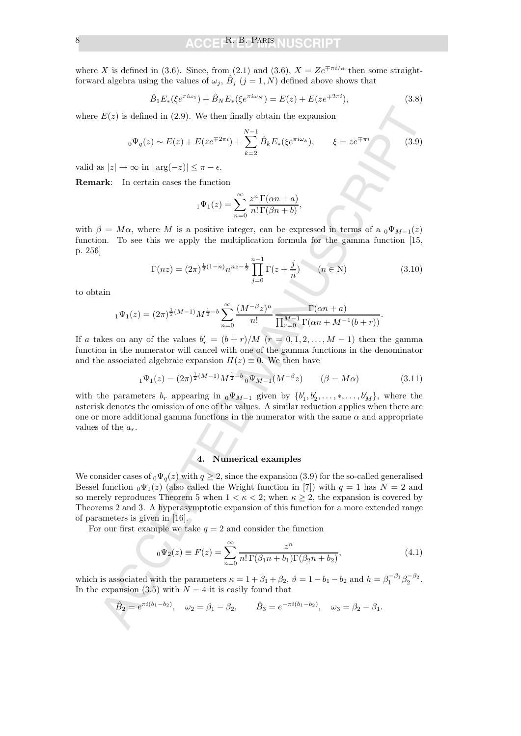where X is defined in (3.6). Since, from (2.1) and (3.6),  $X = Ze^{\mp \pi i/\kappa}$  then some straightforward algebra using the values of  $\omega_j$ ,  $\hat{B}_j$   $(j = 1, N)$  defined above shows that

$$
\hat{B}_1 E_*(\xi e^{\pi i \omega_1}) + \hat{B}_N E_*(\xi e^{\pi i \omega_N}) = E(z) + E(ze^{\mp 2\pi i}),
$$
\n(3.8)

where  $E(z)$  is defined in (2.9). We then finally obtain the expansion

$$
{}_{0}\Psi_{q}(z) \sim E(z) + E(ze^{\mp 2\pi i}) + \sum_{k=2}^{N-1} \hat{B}_{k}E_{*}(\xi e^{\pi i \omega_{k}}), \qquad \xi = ze^{\mp \pi i}
$$
 (3.9)

valid as  $|z| \to \infty$  in  $|\arg(-z)| \leq \pi - \epsilon$ .

Remark: In certain cases the function

$$
{}_{1}\Psi_{1}(z) = \sum_{n=0}^{\infty} \frac{z^{n} \Gamma(\alpha n + a)}{n! \Gamma(\beta n + b)},
$$

with  $\beta = M\alpha$ , where M is a positive integer, can be expressed in terms of a  $_0\Psi_{M-1}(z)$ function. To see this we apply the multiplication formula for the gamma function [15, p. 256]

$$
\Gamma(nz) = (2\pi)^{\frac{1}{2}(1-n)} n^{nz - \frac{1}{2}} \prod_{j=0}^{n-1} \Gamma(z + \frac{j}{n}) \qquad (n \in \mathbb{N})
$$
\n(3.10)

to obtain

$$
{}_{1}\Psi_{1}(z) = (2\pi)^{\frac{1}{2}(M-1)}M^{\frac{1}{2}-b} \sum_{n=0}^{\infty} \frac{(M^{-\beta}z)^{n}}{n!} \frac{\Gamma(\alpha n + a)}{\prod_{r=0}^{M-1} \Gamma(\alpha n + M^{-1}(b+r))}.
$$

If a takes on any of the values  $b'_r = (b+r)/M$   $(r = 0, 1, 2, ..., M-1)$  then the gamma function in the numerator will cancel with one of the gamma functions in the denominator and the associated algebraic expansion  $H(z) \equiv 0$ . We then have

$$
{}_{1}\Psi_{1}(z) = (2\pi)^{\frac{1}{2}(M-1)}M^{\frac{1}{2}-b}{}_{0}\Psi_{M-1}(M^{-\beta}z) \qquad (\beta = M\alpha) \tag{3.11}
$$

with the parameters  $b_r$  appearing in  ${}_0\Psi_{M-1}$  given by  $\{b'_1, b'_2, \ldots, \ast, \ldots, b'_M\}$ , where the asterisk denotes the omission of one of the values. A similar reduction applies when there are one or more additional gamma functions in the numerator with the same  $\alpha$  and appropriate values of the  $a_r$ .

## 4. Numerical examples

 $E(z)$  is defined in (2.0). We then finally obtain the expansion<br>  $\alpha \Psi_q(z) \sim E(z) + E(ze^{-2\pi i}) + \sum_{k=2}^{n-1} \hat{B}_k E_z(\xi e^{\pi i \omega_k})$ ,  $\xi = ze^{\pi i \pi k}$  (3.9)<br>  $\alpha |z| \rightarrow \infty$  in  $|arg(-z)| \leq \pi - c$ .<br>
with  $|z| \rightarrow \infty$  in  $|arg(-z)| \leq \pi - c$ .<br>
with  $\$ We consider cases of  $_0\Psi_q(z)$  with  $q \geq 2$ , since the expansion (3.9) for the so-called generalised Bessel function  $_0\Psi_1(z)$  (also called the Wright function in [7]) with  $q = 1$  has  $N = 2$  and so merely reproduces Theorem 5 when  $1 < \kappa < 2$ ; when  $\kappa \geq 2$ , the expansion is covered by Theorems 2 and 3. A hyperasymptotic expansion of this function for a more extended range of parameters is given in [16].

For our first example we take  $q = 2$  and consider the function

$$
{}_0\Psi_2(z) \equiv F(z) = \sum_{n=0}^{\infty} \frac{z^n}{n! \Gamma(\beta_1 n + b_1) \Gamma(\beta_2 n + b_2)},\tag{4.1}
$$

which is associated with the parameters  $\kappa = 1 + \beta_1 + \beta_2$ ,  $\vartheta = 1 - b_1 - b_2$  and  $h = \beta_1^{-\beta_1} \beta_2^{-\beta_2}$ . In the expansion  $(3.5)$  with  $N = 4$  it is easily found that

$$
\hat{B}_2 = e^{\pi i (b_1 - b_2)}, \quad \omega_2 = \beta_1 - \beta_2, \qquad \hat{B}_3 = e^{-\pi i (b_1 - b_2)}, \quad \omega_3 = \beta_2 - \beta_1.
$$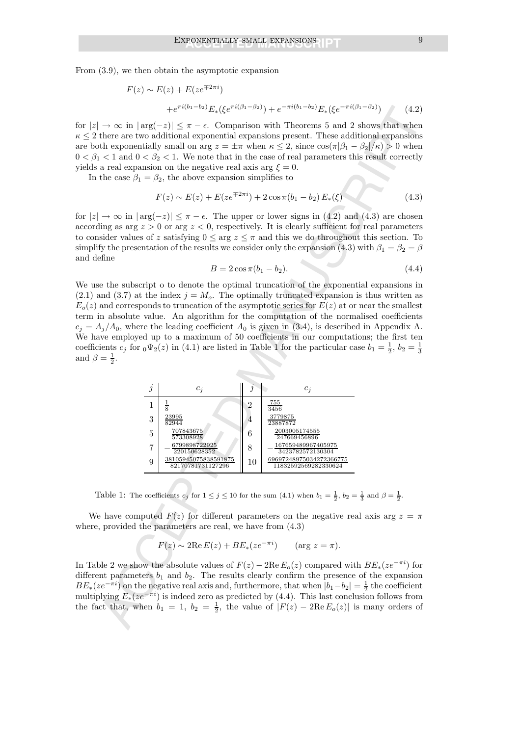$$
F(z) \sim E(z) + E(ze^{\mp 2\pi i})
$$
  
 
$$
+e^{\pi i(b_1-b_2)}E_*(\xi e^{\pi i(\beta_1-\beta_2)}) + e^{-\pi i(b_1-b_2)}E_*(\xi e^{-\pi i(\beta_1-\beta_2)}) \qquad (4.2)
$$

for  $|z| \to \infty$  in  $|\arg(-z)| \leq \pi - \epsilon$ . Comparison with Theorems 5 and 2 shows that when  $\kappa \leq 2$  there are two additional exponential expansions present. These additional expansions are both exponentially small on arg  $z = \pm \pi$  when  $\kappa \leq 2$ , since  $\cos(\pi(\beta_1 - \beta_2)/\kappa) > 0$  when  $0 < \beta_1 < 1$  and  $0 < \beta_2 < 1$ . We note that in the case of real parameters this result correctly yields a real expansion on the negative real axis arg  $\xi = 0$ .

In the case  $\beta_1 = \beta_2$ , the above expansion simplifies to

$$
F(z) \sim E(z) + E(ze^{\mp 2\pi i}) + 2\cos\pi(b_1 - b_2) E_*(\xi)
$$
\n(4.3)

for  $|z| \to \infty$  in  $|\arg(-z)| \leq \pi - \epsilon$ . The upper or lower signs in (4.2) and (4.3) are chosen according as arg  $z > 0$  or arg  $z < 0$ , respectively. It is clearly sufficient for real parameters to consider values of z satisfying  $0 \leq \arg z \leq \pi$  and this we do throughout this section. To simplify the presentation of the results we consider only the expansion (4.3) with  $\beta_1 = \beta_2 = \beta$ and define

$$
B = 2\cos\pi(b_1 - b_2). \tag{4.4}
$$

+ oscillatory  $\frac{1}{\sqrt{2}}$  = ( $\frac{1}{\sqrt{2}}$  = ( $\frac{1}{\sqrt{2}}$  = ( $\frac{1}{\sqrt{2}}$  = ( $\frac{1}{\sqrt{2}}$  = ( $\frac{1}{\sqrt{2}}$  = ( $\frac{1}{\sqrt{2}}$  = ( $\frac{1}{\sqrt{2}}$  = ( $\frac{1}{\sqrt{2}}$  = ( $\frac{1}{\sqrt{2}}$  = ( $\frac{1}{\sqrt{2}}$  = ( $\frac{1}{\sqrt{2}}$  = ( $\frac{1}{\sqrt{2}}$  We use the subscript o to denote the optimal truncation of the exponential expansions in  $(2.1)$  and  $(3.7)$  at the index  $j = M_o$ . The optimally truncated expansion is thus written as  $E_o(z)$  and corresponds to truncation of the asymptotic series for  $E(z)$  at or near the smallest term in absolute value. An algorithm for the computation of the normalised coefficients  $c_j = A_j/A_0$ , where the leading coefficient  $A_0$  is given in (3.4), is described in Appendix A. We have employed up to a maximum of 50 coefficients in our computations; the first ten coefficients  $c_j$  for  ${}_0\Psi_2(z)$  in (4.1) are listed in Table 1 for the particular case  $b_1 = \frac{1}{2}$ ,  $b_2 = \frac{1}{3}$ and  $\beta = \frac{1}{2}$ .

| j | $c_i$                                     | .) | $c_i$                                           |
|---|-------------------------------------------|----|-------------------------------------------------|
|   | $\frac{1}{8}$                             | 2  | $\frac{755}{3456}$                              |
| 3 | 23995<br>82944                            |    | 3779875<br>23887872                             |
| 5 | 707843675<br>573308928                    | 6  | 2003005174555<br>247669456896                   |
| 7 | 6799898722925<br>220150628352             | 8  | 167659489967405975<br>3423782572130304          |
| 9 | 38105945075838591875<br>82170781731127296 | 10 | 69697248975034272366775<br>11832592569282330624 |
|   |                                           |    |                                                 |

Table 1: The coefficients  $c_j$  for  $1 \le j \le 10$  for the sum (4.1) when  $b_1 = \frac{1}{2}$ ,  $b_2 = \frac{1}{3}$  and  $\beta = \frac{1}{2}$ .

We have computed  $F(z)$  for different parameters on the negative real axis arg  $z = \pi$ where, provided the parameters are real, we have from (4.3)

$$
F(z) \sim 2\text{Re}\,E(z) + BE_*(ze^{-\pi i}) \qquad (\text{arg } z = \pi).
$$

In Table 2 we show the absolute values of  $F(z) - 2\text{Re } E_o(z)$  compared with  $BE_*(ze^{-\pi i})$  for different parameters  $b_1$  and  $b_2$ . The results clearly confirm the presence of the expansion  $BE_*(ze^{-\pi i})$  on the negative real axis and, furthermore, that when  $|b_1-b_2|=\frac{1}{2}$  the coefficient multiplying  $E_*(ze^{-\pi i})$  is indeed zero as predicted by (4.4). This last conclusion follows from the fact that, when  $b_1 = 1$ ,  $b_2 = \frac{1}{2}$ , the value of  $|F(z) - 2\text{Re }E_o(z)|$  is many orders of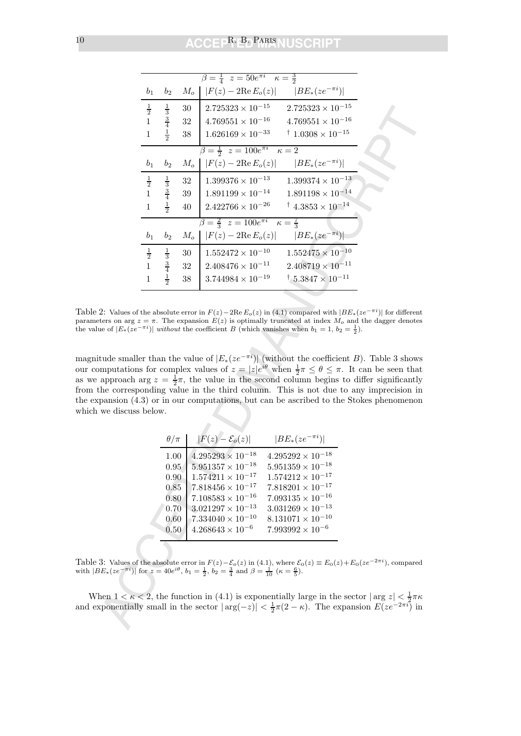|                   |               |               |        | $\beta = \frac{1}{4} z = 50e^{\pi i} \quad \kappa = \frac{3}{2}$                                                                                                   |                                                                       |                                                                                                                                                                                                                                                                                                                                                                                                       |
|-------------------|---------------|---------------|--------|--------------------------------------------------------------------------------------------------------------------------------------------------------------------|-----------------------------------------------------------------------|-------------------------------------------------------------------------------------------------------------------------------------------------------------------------------------------------------------------------------------------------------------------------------------------------------------------------------------------------------------------------------------------------------|
|                   | $b_1$         | $b_2$         |        | $M_o$   $ F(z) - 2\text{Re }E_o(z) $   $ BE_*(ze^{-\pi i}) $                                                                                                       |                                                                       |                                                                                                                                                                                                                                                                                                                                                                                                       |
|                   | $\frac{1}{2}$ | $\frac{1}{3}$ | $30\,$ | $\frac{1}{2.725323 \times 10^{-15}} \qquad \frac{2.725323 \times 10^{-15}}{2.725323 \times 10^{-15}}$                                                              |                                                                       |                                                                                                                                                                                                                                                                                                                                                                                                       |
|                   | $\mathbf{1}$  | $\frac{3}{4}$ |        | $32 \left[ 4.769551 \times 10^{-16} \right] 4.769551 \times 10^{-16}$                                                                                              |                                                                       |                                                                                                                                                                                                                                                                                                                                                                                                       |
|                   | $\mathbf{1}$  | $\frac{1}{2}$ | 38     |                                                                                                                                                                    | $1.626169\times 10^{-33} \qquad ^{\dagger} \ 1.0308\times 10^{-15}$   |                                                                                                                                                                                                                                                                                                                                                                                                       |
|                   |               |               |        | $\beta = \frac{1}{2}$ $z = 100e^{\pi i}$ $\kappa = 2$                                                                                                              |                                                                       |                                                                                                                                                                                                                                                                                                                                                                                                       |
|                   | $b_1$         | $b_2$         |        | $M_o$   $ F(z) - 2\text{Re }E_o(z) $   $ BE_*(ze^{-\pi i}) $                                                                                                       |                                                                       |                                                                                                                                                                                                                                                                                                                                                                                                       |
|                   | $\frac{1}{2}$ | $\frac{1}{3}$ | $32\,$ |                                                                                                                                                                    | $1.399376 \times 10^{-13} \qquad 1.399374 \times 10^{-13}$            |                                                                                                                                                                                                                                                                                                                                                                                                       |
|                   | $\mathbf{1}$  | $\frac{3}{4}$ | 39     | $1.891199 \times 10^{-14}$ $1.891198 \times 10^{-14}$                                                                                                              |                                                                       |                                                                                                                                                                                                                                                                                                                                                                                                       |
|                   | $\mathbf{1}$  | $\frac{1}{2}$ | 40     |                                                                                                                                                                    | $2.422766 \times 10^{-26} \qquad ^{\dagger} \ 4.3853 \times 10^{-14}$ |                                                                                                                                                                                                                                                                                                                                                                                                       |
|                   |               |               |        | $\beta = \frac{2}{3}$ $z = 100e^{\pi i}$ $\kappa = \frac{7}{3}$                                                                                                    |                                                                       |                                                                                                                                                                                                                                                                                                                                                                                                       |
|                   | $b_1$         | $b_2$         |        | $M_o$   $ F(z) - 2\text{Re }E_o(z) $   $ BE_*(ze^{-\pi i}) $                                                                                                       |                                                                       |                                                                                                                                                                                                                                                                                                                                                                                                       |
|                   | $\frac{1}{2}$ | $\frac{1}{3}$ |        | 30 1.552472 × 10 <sup>-10</sup> 1.552475 × 10 <sup>-10</sup>                                                                                                       |                                                                       |                                                                                                                                                                                                                                                                                                                                                                                                       |
|                   | 1             | $\frac{3}{4}$ |        | 32 2.408476 × 10 <sup>-11</sup> 2.408719 × 10 <sup>-11</sup>                                                                                                       |                                                                       |                                                                                                                                                                                                                                                                                                                                                                                                       |
|                   | $\mathbf{1}$  | $\frac{1}{2}$ | 38     |                                                                                                                                                                    | $3.744984 \times 10^{-19}$ $\qquad$ $\qquad$ $5.3847 \times 10^{-11}$ |                                                                                                                                                                                                                                                                                                                                                                                                       |
| we discuss below. |               |               |        |                                                                                                                                                                    |                                                                       | mputations for complex values of $z =  z e^{i\theta}$ when $\frac{1}{2}\pi \le \theta \le \pi$ . It can be seen that<br>approach arg $z = \frac{1}{2}\pi$ , the value in the second column begins to differ significantly<br>the corresponding value in the third column. This is not due to any imprecision in<br>pansion (4.3) or in our computations, but can be ascribed to the Stokes phenomenon |
|                   |               |               |        |                                                                                                                                                                    |                                                                       |                                                                                                                                                                                                                                                                                                                                                                                                       |
|                   |               |               |        | $\begin{array}{c c c} \theta/\pi &  F(z)-\mathcal{E}_o(z)  &  BE_*(ze^{-\pi i})  \\ \hline 1.00 & 4.295293 \times 10^{-18} & 4.295292 \times 10^{-18} \end{array}$ |                                                                       |                                                                                                                                                                                                                                                                                                                                                                                                       |
|                   |               | 0.95          |        | $5.951357 \times 10^{-18}$                                                                                                                                         | $5.951359 \times 10^{-18}$                                            |                                                                                                                                                                                                                                                                                                                                                                                                       |
|                   |               | 0.90          |        | $1.574211 \times 10^{-17}$                                                                                                                                         | $1.574212 \times 10^{-17}$                                            |                                                                                                                                                                                                                                                                                                                                                                                                       |
|                   |               | $0.85\,$      |        | $7.818456 \times 10^{-17}$                                                                                                                                         | $7.818201 \times 10^{-17}$                                            |                                                                                                                                                                                                                                                                                                                                                                                                       |
|                   |               | 0.80<br>0.70  |        | $7.108583 \times 10^{-16}$<br>$3.021297 \times 10^{-13}$                                                                                                           | $7.093135 \times 10^{-16}$<br>$3.031269 \times 10^{-13}$              |                                                                                                                                                                                                                                                                                                                                                                                                       |
|                   |               | $0.60\,$      |        | $7.334040 \times 10^{-10}$                                                                                                                                         | $8.131071 \times 10^{-10}$                                            |                                                                                                                                                                                                                                                                                                                                                                                                       |
|                   |               | 0.50          |        | $4.268643 \times 10^{-6}$                                                                                                                                          | $7.993992 \times 10^{-6}$                                             |                                                                                                                                                                                                                                                                                                                                                                                                       |
|                   |               |               |        |                                                                                                                                                                    |                                                                       | 3: Values of the absolute error in $F(z) - \mathcal{E}_o(z)$ in (4.1), where $\mathcal{E}_o(z) \equiv E_o(z) + E_o(ze^{-2\pi i})$ , compared $BE_*(ze^{-\pi i})$ for $z = 40e^{i\theta}$ , $b_1 = \frac{1}{2}$ , $b_2 = \frac{3}{4}$ and $\beta = \frac{1}{10}$ ( $\kappa = \frac{6}{5}$ ).                                                                                                           |
|                   |               |               |        |                                                                                                                                                                    |                                                                       | hen $1 < \kappa < 2$ , the function in (4.1) is exponentially large in the sector $ \arg z  < \frac{1}{2}\pi\kappa$                                                                                                                                                                                                                                                                                   |
|                   |               |               |        |                                                                                                                                                                    |                                                                       | xponentially small in the sector $ \arg(-z)  < \frac{1}{2}\pi(2-\kappa)$ . The expansion $E(ze^{-2\pi i})$ in                                                                                                                                                                                                                                                                                         |
|                   |               |               |        |                                                                                                                                                                    |                                                                       |                                                                                                                                                                                                                                                                                                                                                                                                       |

Table 2: Values of the absolute error in  $F(z) - 2\text{Re } E_0(z)$  in (4.1) compared with  $|BE_*(ze^{-\pi i})|$  for different parameters on arg  $z = \pi$ . The expansion  $E(z)$  is optimally truncated at index  $M_0$  and the dagger denotes the value of  $|E_*(ze^{-\pi i})|$  without the coefficient B (which vanishes when  $b_1 = 1, b_2 = \frac{1}{2}$ ).

magnitude smaller than the value of  $|E_*(ze^{-\pi i})|$  (without the coefficient B). Table 3 shows our computations for complex values of  $z = |z|e^{i\theta}$  when  $\frac{1}{2}\pi \leq \theta \leq \pi$ . It can be seen that as we approach arg  $z = \frac{1}{2}\pi$ , the value in the second column begins to differ significantly from the corresponding value in the third column. This is not due to any imprecision in the expansion (4.3) or in our computations, but can be ascribed to the Stokes phenomenon which we discuss below.

| $\theta/\pi$ | $ F(z)-\mathcal{E}_o(z) $  | $ BE_*(ze^{-\pi i}) $      |
|--------------|----------------------------|----------------------------|
| 1.00         | $4.295293 \times 10^{-18}$ | $4.295292 \times 10^{-18}$ |
| 0.95         | $5.951357 \times 10^{-18}$ | $5.951359 \times 10^{-18}$ |
| 0.90         | $1.574211 \times 10^{-17}$ | $1.574212 \times 10^{-17}$ |
| 0.85         | $7.818456 \times 10^{-17}$ | $7.818201 \times 10^{-17}$ |
| 0.80         | $7.108583 \times 10^{-16}$ | $7.093135 \times 10^{-16}$ |
| 0.70         | $3.021297 \times 10^{-13}$ | $3.031269 \times 10^{-13}$ |
| 0.60         | $7.334040\times10^{-10}$   | $8.131071 \times 10^{-10}$ |
| 0.50         | $4.268643 \times 10^{-6}$  | $7.993992 \times 10^{-6}$  |
|              |                            |                            |

Table 3: Values of the absolute error in  $F(z) - \mathcal{E}_o(z)$  in (4.1), where  $\mathcal{E}_o(z) \equiv E_o(z) + E_o(ze^{-2\pi i})$ , compared with  $|BE_*(ze^{-\pi i})|$  for  $z = 40e^{i\theta}$ ,  $b_1 = \frac{1}{2}$ ,  $b_2 = \frac{3}{4}$  and  $\beta = \frac{1}{10}$  ( $\kappa = \frac{6}{5}$ ).

When  $1 < \kappa < 2$ , the function in (4.1) is exponentially large in the sector  $|\arg z| < \frac{1}{2}\pi\kappa$ and exponentially small in the sector  $|\arg(-z)| < \frac{1}{2}\pi(2-\kappa)$ . The expansion  $E(ze^{-2\pi i})$  in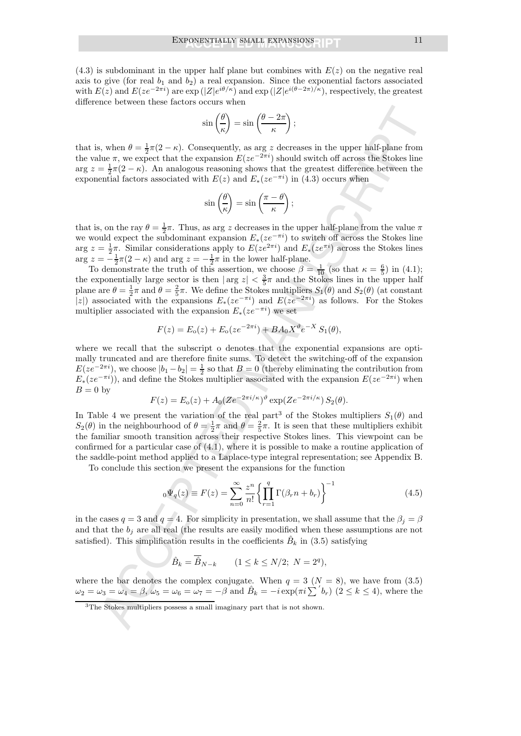$(4.3)$  is subdominant in the upper half plane but combines with  $E(z)$  on the negative real axis to give (for real  $b_1$  and  $b_2$ ) a real expansion. Since the exponential factors associated with  $E(z)$  and  $E(ze^{-2\pi i})$  are  $\exp(|Z|e^{i\theta/\kappa})$  and  $\exp(|Z|e^{i(\theta-2\pi)/\kappa})$ , respectively, the greatest difference between these factors occurs when

$$
\sin\left(\frac{\theta}{\kappa}\right) = \sin\left(\frac{\theta - 2\pi}{\kappa}\right);
$$

that is, when  $\theta = \frac{1}{2}\pi(2 - \kappa)$ . Consequently, as arg z decreases in the upper half-plane from the value  $\pi$ , we expect that the expansion  $E(ze^{-2\pi i})$  should switch off across the Stokes line arg  $z = \frac{1}{2}\pi(2 - \kappa)$ . An analogous reasoning shows that the greatest difference between the exponential factors associated with  $E(z)$  and  $E_*(ze^{-\pi i})$  in (4.3) occurs when

$$
\sin\left(\frac{\theta}{\kappa}\right) = \sin\left(\frac{\pi-\theta}{\kappa}\right);
$$

that is, on the ray  $\theta = \frac{1}{2}\pi$ . Thus, as arg z decreases in the upper half-plane from the value  $\pi$ we would expect the subdominant expansion  $E_*(ze^{-\pi i})$  to switch off across the Stokes line arg  $z = \frac{1}{2}\pi$ . Similar considerations apply to  $E(ze^{2\pi i})$  and  $E_*(ze^{\pi i})$  across the Stokes lines  $\arg z = -\frac{1}{2}\pi(2 - \kappa)$  and  $\arg z = -\frac{1}{2}\pi$  in the lower half-plane.

 $\frac{2}{\pi} - \frac{2}{3}$  (2<sup>2</sup> κ) and arg  $z = \frac{1}{3}$  k in the lower harm plane.<br>To demonstrate the truth of this assertion, we choose  $\beta = \frac{1}{10}$  (so that  $\kappa = \frac{6}{5}$ ) in (4.1); the exponentially large sector is then  $|\arg z| < \frac{3}{5}\pi$  and the Stokes lines in the upper half plane are  $\theta = \frac{1}{2}\pi$  and  $\theta = \frac{2}{5}\pi$ . We define the Stokes multipliers  $S_1(\theta)$  and  $S_2(\theta)$  (at constant |z|) associated with the expansions  $E_*(ze^{-\pi i})$  and  $E(ze^{-2\pi i})$  as follows. For the Stokes multiplier associated with the expansion  $E_*(ze^{-\pi i})$  we set

$$
F(z) = E_o(z) + E_o(ze^{-2\pi i}) + BA_0 X^{\vartheta} e^{-X} S_1(\theta),
$$

where we recall that the subscript o denotes that the exponential expansions are optimally truncated and are therefore finite sums. To detect the switching-off of the expansion  $E(ze^{-2\pi i})$ , we choose  $|b_1-b_2|=\frac{1}{2}$  so that  $B=0$  (thereby eliminating the contribution from  $E_*(ze^{-\pi i})$ , and define the Stokes multiplier associated with the expansion  $E(ze^{-2\pi i})$  when  $B=0$  by

$$
F(z) = E_0(z) + A_0 (Ze^{-2\pi i/\kappa})^{\vartheta} \exp(Ze^{-2\pi i/\kappa}) S_2(\theta).
$$

sin  $\binom{p}{t} = \sin\left(\frac{\theta}{\alpha}\right) = \sin\left(\frac{\theta-2\pi}{\alpha}\right);$ <br>when  $\theta = \frac{1}{2}\pi(2 - \kappa).$  Consequently, as any a decreases in the upper half-plane from<br>the  $\pi$ , we occure that the cognomic place and yields outlined with corresponding t In Table 4 we present the variation of the real part<sup>3</sup> of the Stokes multipliers  $S_1(\theta)$  and  $S_2(\theta)$  in the neighbourhood of  $\theta = \frac{1}{2}\pi$  and  $\theta = \frac{2}{5}\pi$ . It is seen that these multipliers exhibit the familiar smooth transition across their respective Stokes lines. This viewpoint can be confirmed for a particular case of (4.1), where it is possible to make a routine application of the saddle-point method applied to a Laplace-type integral representation; see Appendix B.

To conclude this section we present the expansions for the function

$$
{}_{0}\Psi_{q}(z) \equiv F(z) = \sum_{n=0}^{\infty} \frac{z^{n}}{n!} \left\{ \prod_{r=1}^{q} \Gamma(\beta_{r}n + b_{r}) \right\}^{-1}
$$
(4.5)

in the cases  $q = 3$  and  $q = 4$ . For simplicity in presentation, we shall assume that the  $\beta_i = \beta$ and that the  $b_i$  are all real (the results are easily modified when these assumptions are not satisfied). This simplification results in the coefficients  $\hat{B}_k$  in (3.5) satisfying

 $\hat{B}_k = \overline{\hat{B}}_{N-k}$   $(1 \le k \le N/2; N = 2^q),$ 

where the bar denotes the complex conjugate. When  $q = 3$  ( $N = 8$ ), we have from (3.5)  $\omega_2 = \omega_3 = \omega_4 = \beta$ ,  $\omega_5 = \omega_6 = \omega_7 = -\beta$  and  $\hat{B}_k = -i \exp(\pi i \sum' b_r)$   $(2 \le k \le 4)$ , where the

<sup>3</sup>The Stokes multipliers possess a small imaginary part that is not shown.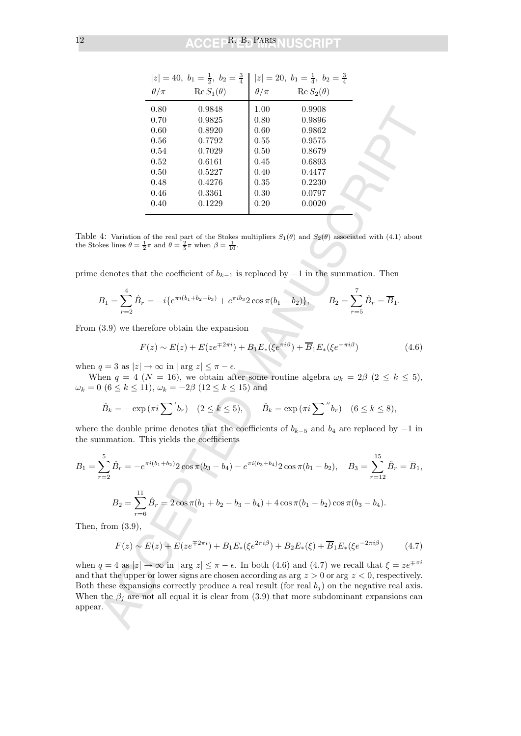|                                                                                                                                                                                                                                                                                                                                                                                                                                |              | $ z =40, b_1=\frac{1}{2}, b_2=\frac{3}{4}$   $ z =20, b_1=\frac{1}{4}, b_2=\frac{3}{4}$                                                                                                                                                                                                                        |              |                          |  |       |
|--------------------------------------------------------------------------------------------------------------------------------------------------------------------------------------------------------------------------------------------------------------------------------------------------------------------------------------------------------------------------------------------------------------------------------|--------------|----------------------------------------------------------------------------------------------------------------------------------------------------------------------------------------------------------------------------------------------------------------------------------------------------------------|--------------|--------------------------|--|-------|
|                                                                                                                                                                                                                                                                                                                                                                                                                                | $\theta/\pi$ | $\text{Re}\,S_1(\theta)$                                                                                                                                                                                                                                                                                       | $\theta/\pi$ | $\text{Re}\,S_2(\theta)$ |  |       |
|                                                                                                                                                                                                                                                                                                                                                                                                                                | 0.80         | 0.9848                                                                                                                                                                                                                                                                                                         | 1.00         | 0.9908                   |  |       |
|                                                                                                                                                                                                                                                                                                                                                                                                                                | 0.70         | 0.9825                                                                                                                                                                                                                                                                                                         | 0.80         | 0.9896                   |  |       |
|                                                                                                                                                                                                                                                                                                                                                                                                                                | 0.60         | 0.8920                                                                                                                                                                                                                                                                                                         | 0.60         | 0.9862                   |  |       |
|                                                                                                                                                                                                                                                                                                                                                                                                                                | 0.56         | 0.7792                                                                                                                                                                                                                                                                                                         | 0.55         | 0.9575                   |  |       |
|                                                                                                                                                                                                                                                                                                                                                                                                                                | 0.54         | 0.7029                                                                                                                                                                                                                                                                                                         | 0.50         | 0.8679                   |  |       |
|                                                                                                                                                                                                                                                                                                                                                                                                                                | 0.52         | 0.6161                                                                                                                                                                                                                                                                                                         | 0.45         | 0.6893                   |  |       |
|                                                                                                                                                                                                                                                                                                                                                                                                                                | 0.50         | 0.5227                                                                                                                                                                                                                                                                                                         | 0.40         | 0.4477                   |  |       |
|                                                                                                                                                                                                                                                                                                                                                                                                                                | 0.48         | 0.4276                                                                                                                                                                                                                                                                                                         | 0.35         | 0.2230                   |  |       |
|                                                                                                                                                                                                                                                                                                                                                                                                                                | 0.46         | 0.3361                                                                                                                                                                                                                                                                                                         | 0.30         | 0.0797                   |  |       |
|                                                                                                                                                                                                                                                                                                                                                                                                                                | 0.40         | 0.1229                                                                                                                                                                                                                                                                                                         | 0.20         | 0.0020                   |  |       |
|                                                                                                                                                                                                                                                                                                                                                                                                                                |              | 4: Variation of the real part of the Stokes multipliers $S_1(\theta)$ and $S_2(\theta)$ associated with (4.1) about<br>kes lines $\theta = \frac{1}{2}\pi$ and $\theta = \frac{2}{5}\pi$ when $\beta = \frac{1}{10}$ .<br>denotes that the coefficient of $b_{k-1}$ is replaced by $-1$ in the summation. Then |              |                          |  |       |
|                                                                                                                                                                                                                                                                                                                                                                                                                                |              | $B_1 = \sum_{i=1}^{n} \hat{B}_r = -i \{ e^{\pi i (b_1 + b_2 - b_3)} + e^{\pi i b_3} 2 \cos \pi (b_1 - b_2) \}, \qquad B_2 = \sum_{i=1}^{n} \hat{B}_r = \overline{B}_1.$                                                                                                                                        |              |                          |  |       |
|                                                                                                                                                                                                                                                                                                                                                                                                                                |              | $(3.9)$ we therefore obtain the expansion                                                                                                                                                                                                                                                                      |              |                          |  |       |
|                                                                                                                                                                                                                                                                                                                                                                                                                                |              | $F(z) \sim E(z) + E(ze^{\mp 2\pi i}) + B_1E_*({\xi}e^{\pi i\beta}) + \overline{B}_1E_*({\xi}e^{-\pi i\beta})$                                                                                                                                                                                                  |              |                          |  | (4.6) |
|                                                                                                                                                                                                                                                                                                                                                                                                                                |              | $q = 3$ as $ z  \to \infty$ in $ \arg z  \leq \pi - \epsilon$ .<br>hen $q = 4$ ( $N = 16$ ), we obtain after some routine algebra $\omega_k = 2\beta$ ( $2 \leq k \leq 5$ ),<br>$0 (6 \le k \le 11), \omega_k = -2\beta (12 \le k \le 15)$ and                                                                 |              |                          |  |       |
|                                                                                                                                                                                                                                                                                                                                                                                                                                |              | $\hat{B}_k = -\exp(\pi i \sum' b_r)$ $(2 \le k \le 5),$ $\hat{B}_k = \exp(\pi i \sum'' b_r)$ $(6 \le k \le 8),$                                                                                                                                                                                                |              |                          |  |       |
|                                                                                                                                                                                                                                                                                                                                                                                                                                |              | the double prime denotes that the coefficients of $b_{k-5}$ and $b_4$ are replaced by $-1$ in<br>mmation. This yields the coefficients                                                                                                                                                                         |              |                          |  |       |
|                                                                                                                                                                                                                                                                                                                                                                                                                                |              | $\sum_{r=2} \hat{B}_r = -e^{\pi i (b_1+b_2)} 2 \cos \pi (b_3-b_4) -e^{\pi i (b_3+b_4)} 2 \cos \pi (b_1-b_2), \quad B_3 = \sum_{r=2}^{15} \hat{B}_r = \overline{B}_1,$                                                                                                                                          |              |                          |  |       |
| $B_2 = \sum_{r=6} \hat{B}_r = 2 \cos \pi (b_1 + b_2 - b_3 - b_4) + 4 \cos \pi (b_1 - b_2) \cos \pi (b_3 - b_4).$                                                                                                                                                                                                                                                                                                               |              |                                                                                                                                                                                                                                                                                                                |              |                          |  |       |
| from $(3.9)$ ,                                                                                                                                                                                                                                                                                                                                                                                                                 |              |                                                                                                                                                                                                                                                                                                                |              |                          |  |       |
|                                                                                                                                                                                                                                                                                                                                                                                                                                |              | $F(z) \sim E(z) + E(ze^{\mp 2\pi i}) + B_1E_* (\xi e^{2\pi i \beta}) + B_2E_* (\xi) + \overline{B}_1E_* (\xi e^{-2\pi i \beta})$                                                                                                                                                                               |              |                          |  | (4.7) |
| $q = 4$ as $ z  \to \infty$ in $ \arg z  \leq \pi - \epsilon$ . In both (4.6) and (4.7) we recall that $\xi = ze^{\mp \pi i}$<br>at the upper or lower signs are chosen according as arg $z > 0$ or arg $z < 0$ , respectively.<br>these expansions correctly produce a real result (for real $bj$ ) on the negative real axis.<br>the $\beta_j$ are not all equal it is clear from (3.9) that more subdominant expansions can |              |                                                                                                                                                                                                                                                                                                                |              |                          |  |       |
| r.                                                                                                                                                                                                                                                                                                                                                                                                                             |              |                                                                                                                                                                                                                                                                                                                |              |                          |  |       |
|                                                                                                                                                                                                                                                                                                                                                                                                                                |              |                                                                                                                                                                                                                                                                                                                |              |                          |  |       |

Table 4: Variation of the real part of the Stokes multipliers  $S_1(\theta)$  and  $S_2(\theta)$  associated with (4.1) about the Stokes lines  $\theta = \frac{1}{2}\pi$  and  $\theta = \frac{2}{5}\pi$  when  $\beta = \frac{1}{10}$ .

prime denotes that the coefficient of  $b_{k-1}$  is replaced by  $-1$  in the summation. Then

$$
B_1 = \sum_{r=2}^4 \hat{B}_r = -i \{ e^{\pi i (b_1 + b_2 - b_3)} + e^{\pi i b_3} 2 \cos \pi (b_1 - b_2) \}, \qquad B_2 = \sum_{r=5}^7 \hat{B}_r = \overline{B}_1.
$$

From (3.9) we therefore obtain the expansion

$$
F(z) \sim E(z) + E(ze^{\mp 2\pi i}) + B_1 E_*(\xi e^{\pi i \beta}) + \overline{B}_1 E_*(\xi e^{-\pi i \beta})
$$
\n(4.6)

when  $q = 3$  as  $|z| \to \infty$  in  $|\arg z| \leq \pi - \epsilon$ .

When  $q = 4$   $(N = 16)$ , we obtain after some routine algebra  $\omega_k = 2\beta$   $(2 \leq k \leq 5)$ ,  $\omega_k = 0$  (6 ≤ k ≤ 11),  $\omega_k = -2\beta$  (12 ≤ k ≤ 15) and

$$
\hat{B}_k = -\exp\left(\pi i \sum' b_r\right) \quad (2 \le k \le 5), \qquad \hat{B}_k = \exp\left(\pi i \sum'' b_r\right) \quad (6 \le k \le 8),
$$

where the double prime denotes that the coefficients of  $b_{k-5}$  and  $b_4$  are replaced by  $-1$  in the summation. This yields the coefficients

$$
B_1 = \sum_{r=2}^{5} \hat{B}_r = -e^{\pi i (b_1 + b_2)} 2 \cos \pi (b_3 - b_4) - e^{\pi i (b_3 + b_4)} 2 \cos \pi (b_1 - b_2), \quad B_3 = \sum_{r=12}^{15} \hat{B}_r = \overline{B}_1,
$$
  

$$
B_2 = \sum_{r=6}^{11} \hat{B}_r = 2 \cos \pi (b_1 + b_2 - b_3 - b_4) + 4 \cos \pi (b_1 - b_2) \cos \pi (b_3 - b_4).
$$

Then, from  $(3.9)$ ,

$$
F(z) \sim E(z) + E(ze^{\mp 2\pi i}) + B_1 E_*(\xi e^{2\pi i \beta}) + B_2 E_*(\xi) + \overline{B}_1 E_*(\xi e^{-2\pi i \beta}) \tag{4.7}
$$

when  $q = 4$  as  $|z| \to \infty$  in  $|\arg z| \leq \pi - \epsilon$ . In both (4.6) and (4.7) we recall that  $\xi = ze^{\mp \pi i}$ and that the upper or lower signs are chosen according as arg  $z > 0$  or arg  $z < 0$ , respectively. Both these expansions correctly produce a real result (for real  $b<sub>i</sub>$ ) on the negative real axis. When the  $\beta_i$  are not all equal it is clear from (3.9) that more subdominant expansions can appear.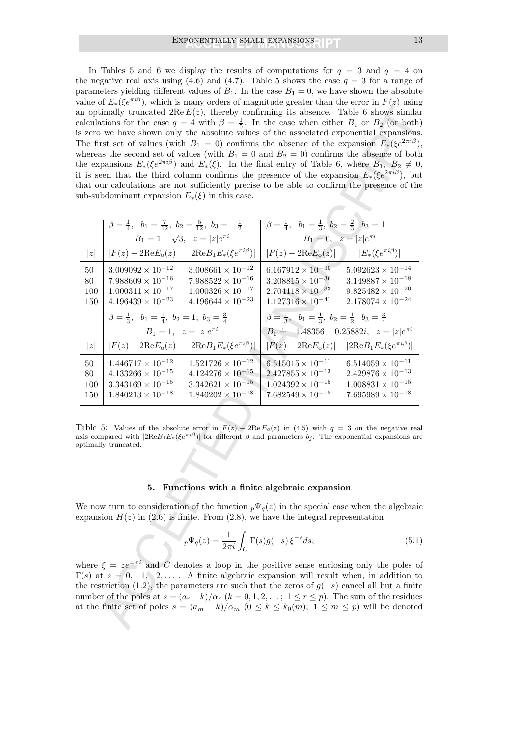In Tables 5 and 6 we display the results of computations for  $q = 3$  and  $q = 4$  on the negative real axis using (4.6) and (4.7). Table 5 shows the case  $q = 3$  for a range of parameters yielding different values of  $B_1$ . In the case  $B_1 = 0$ , we have shown the absolute value of  $E_*(\xi e^{\pi i\beta})$ , which is many orders of magnitude greater than the error in  $F(z)$  using an optimally truncated  $2\text{Re } E(z)$ , thereby confirming its absence. Table 6 shows similar calculations for the case  $q = 4$  with  $\beta = \frac{1}{5}$ . In the case when either  $B_1$  or  $B_2$  (or both) is zero we have shown only the absolute values of the associated exponential expansions. The first set of values (with  $B_1 = 0$ ) confirms the absence of the expansion  $E_*(\xi e^{2\pi i\beta})$ , whereas the second set of values (with  $B_1 = 0$  and  $B_2 = 0$ ) confirms the absence of both the expansions  $E_*(\xi e^{2\pi i\beta})$  and  $E_*(\xi)$ . In the final entry of Table 6, where  $B_1, B_2 \neq 0$ , it is seen that the third column confirms the presence of the expansion  $E_*(\xi e^{2\pi i\beta})$ , but that our calculations are not sufficiently precise to be able to confirm the presence of the sub-subdominant expansion  $E_*(\xi)$  in this case.

| is absence. Table 6 shows similar non-triangleright point $E(z)$ , thereby confirming its absence. Table 6 shows similar<br>alculations for the case $q = 4$ with $\beta = \frac{1}{5}$ . In the case when either $B_1$ or $B_2$ (or both)<br>zero we have shown only the absolute values of the associated exponential expansions.<br>The first set of values (with $B_1 = 0$ ) confirms the absence of the expansion $E_*(\xi e^{2\pi i\beta}),$<br>thereas the second set of values (with $B_1 = 0$ and $B_2 = 0$ ) confirms the absence of both<br>he expansions $E_*(\xi e^{2\pi i\beta})$ and $E_*(\xi)$ . In the final entry of Table 6, where $B_1, B_2 \neq 0$ ,<br>is seen that the third column confirms the presence of the expansion $E_*(\xi e^{2\pi i\beta})$ , but<br>hat our calculations are not sufficiently precise to be able to confirm the presence of the<br>ub-subdominant expansion $E_*(\xi)$ in this case. |                                                                                                                      |                                                                                                                      |                                                                                                                                                                                                                                            |                                                                                                                      |
|----------------------------------------------------------------------------------------------------------------------------------------------------------------------------------------------------------------------------------------------------------------------------------------------------------------------------------------------------------------------------------------------------------------------------------------------------------------------------------------------------------------------------------------------------------------------------------------------------------------------------------------------------------------------------------------------------------------------------------------------------------------------------------------------------------------------------------------------------------------------------------------------------------------------------------------|----------------------------------------------------------------------------------------------------------------------|----------------------------------------------------------------------------------------------------------------------|--------------------------------------------------------------------------------------------------------------------------------------------------------------------------------------------------------------------------------------------|----------------------------------------------------------------------------------------------------------------------|
|                                                                                                                                                                                                                                                                                                                                                                                                                                                                                                                                                                                                                                                                                                                                                                                                                                                                                                                                        | $\beta = \frac{1}{4}$ , $b_1 = \frac{7}{12}$ , $b_2 = \frac{5}{12}$ , $b_3 = -\frac{1}{2}$                           |                                                                                                                      | $\beta = \frac{1}{4}$ , $b_1 = \frac{1}{3}$ , $b_2 = \frac{2}{3}$ , $b_3 = 1$                                                                                                                                                              |                                                                                                                      |
|                                                                                                                                                                                                                                                                                                                                                                                                                                                                                                                                                                                                                                                                                                                                                                                                                                                                                                                                        | $B_1 = 1 + \sqrt{3}, \quad z =  z e^{\pi i}$                                                                         |                                                                                                                      | $B_1 = 0, \quad z =  z e^{\pi i}$                                                                                                                                                                                                          |                                                                                                                      |
| z                                                                                                                                                                                                                                                                                                                                                                                                                                                                                                                                                                                                                                                                                                                                                                                                                                                                                                                                      |                                                                                                                      |                                                                                                                      | $\left F(z)-2\mathrm{Re}E_{\mathrm{o}}(z)\right  \quad \left 2\mathrm{Re}B_{1}E_{\ast}(\xi e^{\pi i\beta})\right  \ \left \  F(z)-2\mathrm{Re}E_{\mathrm{o}}(z)\vert\right  \quad \right  \quad \left E_{\ast}(\xi e^{\pi i\beta})\right $ |                                                                                                                      |
| 50<br>80<br>100<br>150                                                                                                                                                                                                                                                                                                                                                                                                                                                                                                                                                                                                                                                                                                                                                                                                                                                                                                                 | $3.009092 \times 10^{-12}$<br>$7.988609 \times 10^{-16}$<br>$1.000311 \times 10^{-17}$<br>$4.196439 \times 10^{-23}$ | $3.008661 \times 10^{-12}$<br>$7.988522 \times 10^{-16}$<br>$1.000326 \times 10^{-17}$<br>$4.196644 \times 10^{-23}$ | $6.167912 \times 10^{-30}$ $5.092623 \times 10^{-14}$<br>$3.208815 \times 10^{-36}$<br>$2.704118 \times 10^{-33}$<br>$1.127316 \times 10^{-41}$                                                                                            | $3.149887 \times 10^{-18}$<br>$9.825482 \times 10^{-20}$<br>$2.178074 \times 10^{-24}$                               |
|                                                                                                                                                                                                                                                                                                                                                                                                                                                                                                                                                                                                                                                                                                                                                                                                                                                                                                                                        | $\beta = \frac{1}{3}, b_1 = \frac{1}{4}, b_2 = 1, b_3 = \frac{3}{4}$                                                 |                                                                                                                      | $\beta = \frac{1}{3}, b_1 = \frac{1}{3}, b_2 = \frac{1}{2}, b_3 = \frac{3}{4}$                                                                                                                                                             |                                                                                                                      |
|                                                                                                                                                                                                                                                                                                                                                                                                                                                                                                                                                                                                                                                                                                                                                                                                                                                                                                                                        | $B_1 = 1, z =  z e^{\pi i}$                                                                                          |                                                                                                                      | $B_1 = -1.48356 - 0.25882i, \quad z =  z e^{\pi i}$                                                                                                                                                                                        |                                                                                                                      |
| z                                                                                                                                                                                                                                                                                                                                                                                                                                                                                                                                                                                                                                                                                                                                                                                                                                                                                                                                      | $ F(z) - 2\text{Re}E_{\text{o}}(z) $ $ 2\text{Re}B_1E_*(\xi e^{\pi i\beta}) $                                        |                                                                                                                      | $ \overline{F(z)} - 2\text{Re}E_{\text{o}}(z) $ $ 2\text{Re}B_1E_*(\xi e^{\pi i\beta}) $                                                                                                                                                   |                                                                                                                      |
| 50<br>80<br>100<br>150                                                                                                                                                                                                                                                                                                                                                                                                                                                                                                                                                                                                                                                                                                                                                                                                                                                                                                                 | $1.446717 \times 10^{-12}$<br>$4.133266 \times 10^{-15}$<br>$3.343169 \times 10^{-15}$<br>$1.840213 \times 10^{-18}$ | $1.521726 \times 10^{-12}$<br>$4.124276 \times 10^{-15}$<br>$3.342621 \times 10^{-15}$<br>$1.840202 \times 10^{-18}$ | $6.515015 \times 10^{-11}$<br>$2.427855\times10^{-13}$<br>$1.024392 \times 10^{-15}$<br>$7.682549 \times 10^{-18}$                                                                                                                         | $6.514059 \times 10^{-11}$<br>$2.429876 \times 10^{-13}$<br>$1.008831 \times 10^{-15}$<br>$7.695989 \times 10^{-18}$ |
| able 5: Values of the absolute error in $F(z) - 2\text{Re }E_o(z)$ in (4.5) with $q = 3$ on the negative real<br>stis compared with $ 2ReB_1E_*(\xi e^{\pi i\beta}) $ for different $\beta$ and parameters $b_j$ . The exponential expansions are<br>ptimally truncated.<br>5. Functions with a finite algebraic expansion                                                                                                                                                                                                                                                                                                                                                                                                                                                                                                                                                                                                             |                                                                                                                      |                                                                                                                      |                                                                                                                                                                                                                                            |                                                                                                                      |
| We now turn to consideration of the function $_p\Psi_q(z)$ in the special case when the algebraic<br>xpansion $H(z)$ in (2.6) is finite. From (2.8), we have the integral representation                                                                                                                                                                                                                                                                                                                                                                                                                                                                                                                                                                                                                                                                                                                                               |                                                                                                                      |                                                                                                                      |                                                                                                                                                                                                                                            |                                                                                                                      |
| $\psi_p\Psi_q(z) = \frac{1}{2\pi i} \int_C \Gamma(s)g(-s)\,\xi^{-s}ds,$<br>(5.1)                                                                                                                                                                                                                                                                                                                                                                                                                                                                                                                                                                                                                                                                                                                                                                                                                                                       |                                                                                                                      |                                                                                                                      |                                                                                                                                                                                                                                            |                                                                                                                      |
| there $\xi = ze^{\pm \pi i}$ and C denotes a loop in the positive sense enclosing only the poles of<br>$(s)$ at $s = 0, -1, -2, \ldots$ . A finite algebraic expansion will result when, in addition to<br>he restriction (1.2), the parameters are such that the zeros of $g(-s)$ cancel all but a finite<br>umber of the poles at $s = (a_r + k)/\alpha_r$ $(k = 0, 1, 2, \ldots; 1 \le r \le p)$ . The sum of the residues<br>t the finite set of poles $s = (a_m + k)/\alpha_m$ $(0 \le k \le k_0(m); 1 \le m \le p)$ will be denoted                                                                                                                                                                                                                                                                                                                                                                                              |                                                                                                                      |                                                                                                                      |                                                                                                                                                                                                                                            |                                                                                                                      |

Table 5: Values of the absolute error in  $F(z) - 2\text{Re }E_o(z)$  in (4.5) with  $q = 3$  on the negative real axis compared with  $|2ReB_1E_*(\xi e^{\pi i\beta})|$  for different  $\beta$  and parameters  $b_i$ . The exponential expansions are optimally truncated.

### 5. Functions with a finite algebraic expansion

$$
\mathcal{P}_{p}\Psi_{q}(z) = \frac{1}{2\pi i} \int_{C} \Gamma(s)g(-s)\,\xi^{-s}ds,\tag{5.1}
$$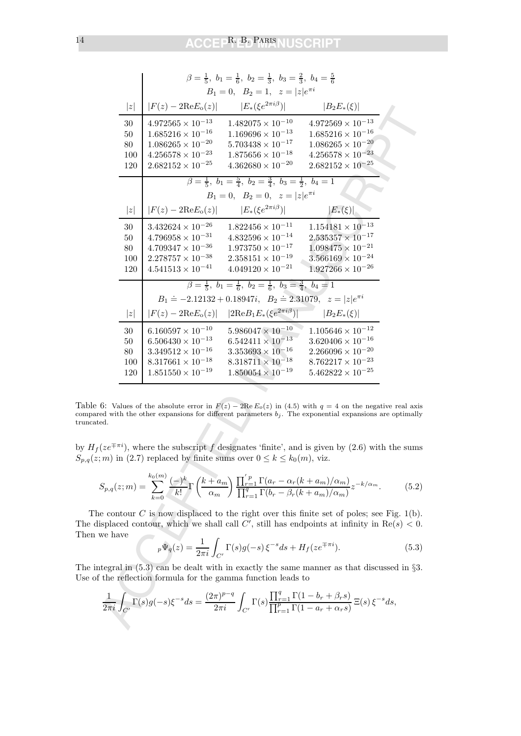|                                                                                                                                                                                              |                                                                                                                                                                                                            |                                                                                | $\beta = \frac{1}{5}, b_1 = \frac{1}{6}, b_2 = \frac{1}{3}, b_3 = \frac{2}{3}, b_4 = \frac{5}{6}$                                                                                                                              |                                                          |       |  |
|----------------------------------------------------------------------------------------------------------------------------------------------------------------------------------------------|------------------------------------------------------------------------------------------------------------------------------------------------------------------------------------------------------------|--------------------------------------------------------------------------------|--------------------------------------------------------------------------------------------------------------------------------------------------------------------------------------------------------------------------------|----------------------------------------------------------|-------|--|
|                                                                                                                                                                                              |                                                                                                                                                                                                            |                                                                                | $B_1 = 0$ , $B_2 = 1$ , $z =  z e^{\pi i}$                                                                                                                                                                                     |                                                          |       |  |
|                                                                                                                                                                                              | z                                                                                                                                                                                                          | $ F(z) - 2\text{Re}E_{\text{o}}(z) $ $ E_*(\xi e^{2\pi i\beta}) $              |                                                                                                                                                                                                                                | $ B_2E_*(\xi) $                                          |       |  |
|                                                                                                                                                                                              | 30                                                                                                                                                                                                         | $4.972565 \times 10^{-13}$                                                     | $1.482075 \times 10^{-10}$                                                                                                                                                                                                     | $4.972569 \times 10^{-13}$                               |       |  |
|                                                                                                                                                                                              | 50                                                                                                                                                                                                         | $1.685216 \times 10^{-16}$                                                     | $1.169696 \times 10^{-13}$                                                                                                                                                                                                     | $1.685216 \times 10^{-16}$                               |       |  |
|                                                                                                                                                                                              | 80<br>100                                                                                                                                                                                                  | $1.086265 \times 10^{-20}$<br>$4.256578 \times 10^{-23}$                       | $5.703438 \times 10^{-17}$<br>$1.875656 \times 10^{-18}$                                                                                                                                                                       | $1.086265 \times 10^{-20}$<br>$4.256578 \times 10^{-23}$ |       |  |
|                                                                                                                                                                                              | 120                                                                                                                                                                                                        | $2.682152 \times 10^{-25}$                                                     | $4.362680 \times 10^{-20}$                                                                                                                                                                                                     | $2.682152 \times 10^{-25}$                               |       |  |
|                                                                                                                                                                                              |                                                                                                                                                                                                            |                                                                                | $\beta = \frac{1}{5}, b_1 = \frac{5}{4}, b_2 = \frac{3}{4}, b_3 = \frac{1}{2}, b_4 = 1$                                                                                                                                        |                                                          |       |  |
|                                                                                                                                                                                              |                                                                                                                                                                                                            |                                                                                | $B_1 = 0$ , $B_2 = 0$ , $z =  z e^{\pi i}$                                                                                                                                                                                     |                                                          |       |  |
|                                                                                                                                                                                              | z                                                                                                                                                                                                          | $ F(z)-2\mathrm{Re}E_{\mathrm{o}}(z) $                                         | $ E_*(\xi e^{2\pi i \beta}) $                                                                                                                                                                                                  | $ E_*(\xi) $                                             |       |  |
|                                                                                                                                                                                              | 30                                                                                                                                                                                                         | $3.432624 \times 10^{-26}$                                                     | $1.822456 \times 10^{-11}$                                                                                                                                                                                                     | $1.154181 \times 10^{-13}$                               |       |  |
|                                                                                                                                                                                              | 50                                                                                                                                                                                                         | $4.796958 \times 10^{-31}$                                                     | $4.832596 \times 10^{-14}$                                                                                                                                                                                                     | $2.535357 \times 10^{-17}$                               |       |  |
|                                                                                                                                                                                              | 80                                                                                                                                                                                                         | $4.709347 \times 10^{-36}$                                                     | $1.973750\times10^{-17}$                                                                                                                                                                                                       | $1.098475 \times 10^{-21}$                               |       |  |
|                                                                                                                                                                                              | 100<br>120                                                                                                                                                                                                 | $2.278757 \times 10^{-38}$<br>$4.541513 \times 10^{-41}$                       | $2.358151 \times 10^{-19}$<br>$4.049120 \times 10^{-21}$                                                                                                                                                                       | $3.566169 \times 10^{-24}$<br>$1.927266 \times 10^{-26}$ |       |  |
|                                                                                                                                                                                              |                                                                                                                                                                                                            |                                                                                | $\beta = \frac{1}{5}, b_1 = \frac{1}{6}, b_2 = \frac{1}{6}, b_3 = \frac{3}{4}, b_4 = 1$                                                                                                                                        |                                                          |       |  |
|                                                                                                                                                                                              |                                                                                                                                                                                                            |                                                                                | $B_1 \doteq -2.12132 + 0.18947i$ , $B_2 \doteq 2.31079$ , $z =  z e^{\pi i}$                                                                                                                                                   |                                                          |       |  |
|                                                                                                                                                                                              | z                                                                                                                                                                                                          | $ F(z) - 2\text{Re}E_{\text{o}}(z) $ $ 2\text{Re}B_1E_*(\xi e^{2\pi i\beta}) $ |                                                                                                                                                                                                                                | $ B_2E_*(\xi) $                                          |       |  |
|                                                                                                                                                                                              | 30                                                                                                                                                                                                         | $6.160597 \times 10^{-10}$                                                     | $5.986047 \times 10^{-10}$                                                                                                                                                                                                     | $1.105646 \times 10^{-12}$                               |       |  |
|                                                                                                                                                                                              | 50                                                                                                                                                                                                         | $6.506430 \times 10^{-13}$                                                     | $6.542411 \times 10^{-13}$                                                                                                                                                                                                     | $3.620406 \times 10^{-16}$                               |       |  |
|                                                                                                                                                                                              | 80                                                                                                                                                                                                         | $3.349512 \times 10^{-16}$                                                     | $3.353693 \times 10^{-16}$                                                                                                                                                                                                     | $2.266096 \times 10^{-20}$                               |       |  |
|                                                                                                                                                                                              | 100                                                                                                                                                                                                        | $8.317661 \times 10^{-18}$                                                     | $8.318711\times10^{-18}$                                                                                                                                                                                                       | $8.762217 \times 10^{-23}$                               |       |  |
|                                                                                                                                                                                              | 120                                                                                                                                                                                                        | $1.851550 \times 10^{-19}$                                                     | $1.850054 \times 10^{-19}$                                                                                                                                                                                                     | $5.462822 \times 10^{-25}$                               |       |  |
|                                                                                                                                                                                              |                                                                                                                                                                                                            |                                                                                |                                                                                                                                                                                                                                |                                                          |       |  |
| ed.                                                                                                                                                                                          |                                                                                                                                                                                                            |                                                                                | 6: Values of the absolute error in $F(z) - 2\text{Re } E_0(z)$ in (4.5) with $q = 4$ on the negative real axis<br>ed with the other expansions for different parameters $b_j$ . The exponential expansions are optimally       |                                                          |       |  |
|                                                                                                                                                                                              |                                                                                                                                                                                                            |                                                                                |                                                                                                                                                                                                                                |                                                          |       |  |
|                                                                                                                                                                                              |                                                                                                                                                                                                            |                                                                                | $(ze^{\mp \pi i})$ , where the subscript f designates 'finite', and is given by (2.6) with the sums<br>$(m; m)$ in (2.7) replaced by finite sums over $0 \leq k \leq k_0(m)$ , viz.                                            |                                                          |       |  |
|                                                                                                                                                                                              |                                                                                                                                                                                                            |                                                                                |                                                                                                                                                                                                                                |                                                          |       |  |
|                                                                                                                                                                                              |                                                                                                                                                                                                            |                                                                                | $S_{p,q}(z;m)=\sum_{n=0}^{k_0(m)}\frac{(-)^k}{k!}\Gamma\left(\frac{k+a_m}{\alpha_m}\right)\frac{\prod_{r=1}^{\prime p}\Gamma(a_r-\alpha_r(k+a_m)/\alpha_m)}{\prod_{r=1}^q\Gamma(b_r-\beta_r(k+a_m)/\alpha_m)}z^{-k/\alpha_m}.$ |                                                          | (5.2) |  |
| is contour $C$ is now displaced to the right over this finite set of poles; see Fig. 1(b).<br>is placed contour, which we shall call $C'$ , still has endpoints at infinity in $Re(s) < 0$ . |                                                                                                                                                                                                            |                                                                                |                                                                                                                                                                                                                                |                                                          |       |  |
| we have                                                                                                                                                                                      |                                                                                                                                                                                                            |                                                                                | $_p\Psi_q(z) = \frac{1}{2\pi i} \int_{\gamma} \Gamma(s) g(-s) \xi^{-s} ds + H_f(ze^{\mp \pi i}).$                                                                                                                              |                                                          | (5.3) |  |
| itegral in $(5.3)$ can be dealt with in exactly the same manner as that discussed in $\S 3$ .<br>f the reflection formula for the gamma function leads to                                    |                                                                                                                                                                                                            |                                                                                |                                                                                                                                                                                                                                |                                                          |       |  |
|                                                                                                                                                                                              | $\frac{1}{2\pi i}\int_{C'}\Gamma(s)g(-s)\xi^{-s}ds = \frac{(2\pi)^{p-q}}{2\pi i}\int_{C'}\Gamma(s)\frac{\prod_{r=1}^{s}\Gamma(1-b_r+\beta_r s)}{\prod_{r=1}^{p}\Gamma(1-a_r+\alpha_r s)}\Xi(s)\xi^{-s}ds,$ |                                                                                |                                                                                                                                                                                                                                |                                                          |       |  |
|                                                                                                                                                                                              |                                                                                                                                                                                                            |                                                                                |                                                                                                                                                                                                                                |                                                          |       |  |

Table 6: Values of the absolute error in  $F(z) - 2\text{Re } E_o(z)$  in (4.5) with  $q = 4$  on the negative real axis compared with the other expansions for different parameters  $b_i$ . The exponential expansions are optimally truncated.

by  $H_f(ze^{\pm \pi i})$ , where the subscript f designates 'finite', and is given by (2.6) with the sums  $S_{p,q}(z;m)$  in (2.7) replaced by finite sums over  $0 \le k \le k_0(m)$ , viz.

$$
S_{p,q}(z;m) = \sum_{k=0}^{k_0(m)} \frac{(-)^k}{k!} \Gamma\left(\frac{k+a_m}{\alpha_m}\right) \frac{\prod_{r=1}^{'p} \Gamma(a_r - \alpha_r(k+a_m)/\alpha_m)}{\prod_{r=1}^q \Gamma(b_r - \beta_r(k+a_m)/\alpha_m)} z^{-k/\alpha_m}.
$$
 (5.2)

The contour  $C$  is now displaced to the right over this finite set of poles; see Fig. 1(b). The displaced contour, which we shall call C', still has endpoints at infinity in  $\text{Re}(s) < 0$ . Then we have

$$
{}_{p}\Psi_{q}(z) = \frac{1}{2\pi i} \int_{C'} \Gamma(s)g(-s)\,\xi^{-s}ds + H_{f}(ze^{\mp \pi i}).\tag{5.3}
$$

The integral in (5.3) can be dealt with in exactly the same manner as that discussed in §3. Use of the reflection formula for the gamma function leads to

$$
\frac{1}{2\pi i} \int_{C'} \Gamma(s) g(-s) \xi^{-s} ds = \frac{(2\pi)^{p-q}}{2\pi i} \int_{C'} \Gamma(s) \frac{\prod_{r=1}^q \Gamma(1 - b_r + \beta_r s)}{\prod_{r=1}^p \Gamma(1 - a_r + \alpha_r s)} \Xi(s) \xi^{-s} ds,
$$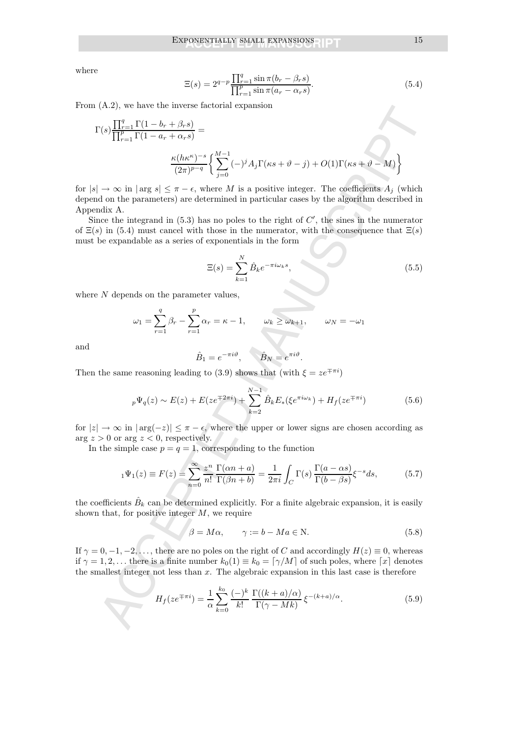where

$$
\Xi(s) = 2^{q-p} \frac{\prod_{r=1}^{q} \sin \pi (b_r - \beta_r s)}{\prod_{r=1}^{p} \sin \pi (a_r - \alpha_r s)}.
$$
\n
$$
(5.4)
$$

From (A.2), we have the inverse factorial expansion

1 (A.2), we have the inverse factorian expansion  
\n
$$
\Gamma(s) \frac{\prod_{r=1}^{n} \Gamma(1-b_r+\beta_r s)}{\prod_{r=1}^{n} \Gamma(1-a_r+a_r s)} = \frac{\kappa(h\kappa^{\kappa})^{-s}}{(2\pi)^{p-q}} \left\{ \sum_{r=0}^{M-1} (-)^j A_j \Gamma(\kappa s + \vartheta - j) + O(1) \Gamma(\kappa s + \vartheta - M) \right\}
$$
\n
$$
s|\rightarrow \infty \text{ in } |\arg s| \le \pi - \epsilon, \text{ where } M \text{ is a positive integer. The coefficients } A_j \text{ (which and on the parameters) are determined in particular cases by the algorithm described in matrix A. (b) in (5.4) must cancel with those in the numerator, with the consequence that  $\Xi(s)$  be expanded as a series of exponentials in the form  
\n
$$
\Xi(s) = \sum_{k=1}^{N} \beta_k e^{-\pi i \omega_s s},
$$
\n
$$
\omega_1 = \sum_{r=1}^{q} \beta_r - \sum_{r=1}^{p} \alpha_r = \kappa - 1, \qquad \omega_k \ge \omega_{k+1}, \qquad \omega_N = -\omega_1
$$
\n
$$
\hat{B}_1 = e^{-\pi i \vartheta}, \qquad \hat{B}_N = e^{\pi i \vartheta}.
$$
\nthe same reasoning leading to (3.9) shows that (with  $\xi = 2e^{\pi \pi i}$ )  
\n
$$
p\Psi_q(z) \sim E(z) + E(ze^{\pi 2\pi i}) + \sum_{k=2}^{N-1} \hat{B}_k E_s (e^{\pi i \omega_k}) + H_f(ze^{\pi \pi i})
$$
\n
$$
p\Psi_q(z) \sim E(z) + E(ze^{\pi 2\pi i}) + \sum_{k=2}^{N-1} \hat{B}_k E_s (e^{\pi i \omega_k}) + H_f(ze^{\pi \pi i})
$$
\n
$$
p\Psi_q(z) \sim E(z) + E(ze^{\pi 2\pi i}) + \sum_{k=2}^{N-1} \hat{B}_k E_s (e^{\pi i \omega_k}) + H_f(ze^{\pi \pi i})
$$
\n
$$
p\Psi_q(z) \sim \omega = \omega_1 \text{ and } \frac{\omega_1}{\omega_1} \sum_{r=1}^{\infty} \frac{z^n}{n!} \frac{\Gamma(\alpha n + a)}{\Gamma(\beta n
$$
$$

for  $|s| \to \infty$  in  $|\arg s| \leq \pi - \epsilon$ , where M is a positive integer. The coefficients  $A_i$  (which depend on the parameters) are determined in particular cases by the algorithm described in Appendix A.

Since the integrand in  $(5.3)$  has no poles to the right of  $C'$ , the sines in the numerator of  $\Xi(s)$  in (5.4) must cancel with those in the numerator, with the consequence that  $\Xi(s)$ must be expandable as a series of exponentials in the form

$$
\Xi(s) = \sum_{k=1}^{N} \hat{B}_k e^{-\pi i \omega_k s},
$$
\n(5.5)

where  $N$  depends on the parameter values,

$$
\omega_1 = \sum_{r=1}^q \beta_r - \sum_{r=1}^p \alpha_r = \kappa - 1, \qquad \omega_k \ge \omega_{k+1}, \qquad \omega_N = -\omega_1
$$

and

$$
\hat{B}_1 = e^{-\pi i \vartheta}, \qquad \hat{B}_N = e^{\pi i \vartheta}.
$$

Then the same reasoning leading to (3.9) shows that (with  $\xi = ze^{\mp \pi i}$ )

$$
{}_{p}\Psi_{q}(z) \sim E(z) + E(ze^{\mp 2\pi i}) + \sum_{k=2}^{N-1} \hat{B}_{k}E_{*}(\xi e^{\pi i \omega_{k}}) + H_{f}(ze^{\mp \pi i})
$$
(5.6)

for  $|z| \to \infty$  in  $|\arg(-z)| \leq \pi - \epsilon$ , where the upper or lower signs are chosen according as arg  $z > 0$  or arg  $z < 0$ , respectively.

In the simple case  $p = q = 1$ , corresponding to the function

$$
{}_{1}\Psi_{1}(z) \equiv F(z) = \sum_{n=0}^{\infty} \frac{z^{n}}{n!} \frac{\Gamma(\alpha n + a)}{\Gamma(\beta n + b)} = \frac{1}{2\pi i} \int_{C} \Gamma(s) \frac{\Gamma(a - \alpha s)}{\Gamma(b - \beta s)} \xi^{-s} ds,
$$
(5.7)

the coefficients  $\hat{B}_k$  can be determined explicitly. For a finite algebraic expansion, it is easily shown that, for positive integer  $M$ , we require

$$
\beta = M\alpha, \qquad \gamma := b - Ma \in \mathbb{N}.\tag{5.8}
$$

If  $\gamma = 0, -1, -2, \ldots$ , there are no poles on the right of C and accordingly  $H(z) \equiv 0$ , whereas if  $\gamma = 1, 2, \ldots$  there is a finite number  $k_0(1) \equiv k_0 = \lceil \gamma/M \rceil$  of such poles, where  $\lceil x \rceil$  denotes the smallest integer not less than  $x$ . The algebraic expansion in this last case is therefore

$$
H_f(ze^{\mp \pi i}) = \frac{1}{\alpha} \sum_{k=0}^{k_0} \frac{(-)^k}{k!} \frac{\Gamma((k+a)/\alpha)}{\Gamma(\gamma - Mk)} \xi^{-(k+a)/\alpha}.
$$
 (5.9)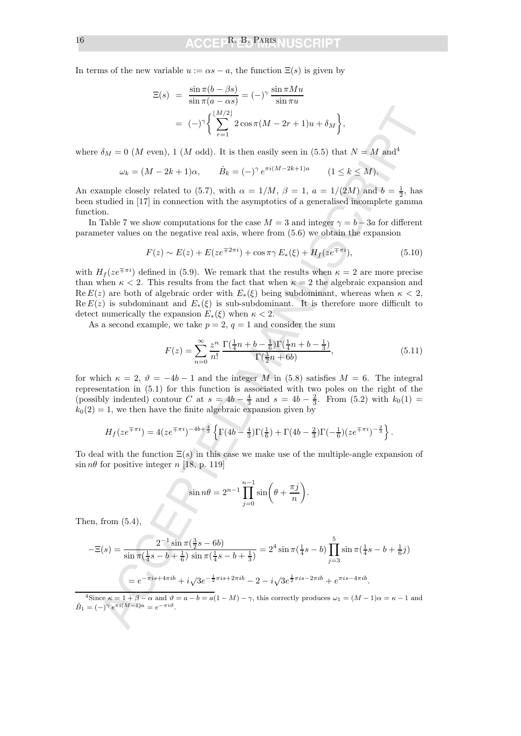In terms of the new variable  $u := \alpha s - a$ , the function  $\Xi(s)$  is given by

$$
\Xi(s) = \frac{\sin \pi (b - \beta s)}{\sin \pi (a - \alpha s)} = (-\gamma \frac{\sin \pi M u}{\sin \pi u}
$$

$$
= (-\gamma \left\{ \sum_{r=1}^{\lfloor M/2 \rfloor} 2 \cos \pi (M - 2r + 1) u + \delta_M \right\},
$$

where  $\delta_M = 0$  (M even), 1 (M odd). It is then easily seen in (5.5) that  $N = M$  and<sup>4</sup>

$$
\omega_k = (M - 2k + 1)\alpha,
$$
  $\hat{B}_k = (-)^{\gamma} e^{\pi i (M - 2k + 1)\alpha}$   $(1 \le k \le M).$ 

An example closely related to (5.7), with  $\alpha = 1/M$ ,  $\beta = 1$ ,  $a = 1/(2M)$  and  $b = \frac{1}{2}$ , has been studied in [17] in connection with the asymptotics of a generalised incomplete gamma function.

In Table 7 we show computations for the case  $M = 3$  and integer  $\gamma = b - 3a$  for different parameter values on the negative real axis, where from (5.6) we obtain the expansion

$$
F(z) \sim E(z) + E(ze^{\mp 2\pi i}) + \cos \pi \gamma E_*(\xi) + H_f(ze^{\mp \pi i}),
$$
\n(5.10)

with  $H_f(ze^{\mp \pi i})$  defined in (5.9). We remark that the results when  $\kappa = 2$  are more precise than when  $\kappa < 2$ . This results from the fact that when  $\kappa = 2$  the algebraic expansion and  $\text{Re } E(z)$  are both of algebraic order with  $E_*(\xi)$  being subdominant, whereas when  $\kappa < 2$ ,  $\text{Re } E(z)$  is subdominant and  $E_*(\xi)$  is sub-subdominant. It is therefore more difficult to detect numerically the expansion  $E_*(\xi)$  when  $\kappa < 2$ .

As a second example, we take  $p = 2$ ,  $q = 1$  and consider the sum

$$
F(z) = \sum_{n=0}^{\infty} \frac{z^n}{n!} \frac{\Gamma(\frac{1}{4}n + b - \frac{1}{6})\Gamma(\frac{1}{4}n + b - \frac{1}{3})}{\Gamma(\frac{3}{2}n + 6b)},
$$
(5.11)

for which  $\kappa = 2$ ,  $\vartheta = -4b - 1$  and the integer M in (5.8) satisfies  $M = 6$ . The integral representation in (5.1) for this function is associated with two poles on the right of the (possibly indented) contour C at  $s = 4b - \frac{4}{3}$  and  $s = 4b - \frac{2}{3}$ . From (5.2) with  $k_0(1)$  $k_0(2) = 1$ , we then have the finite algebraic expansion given by

$$
H_f(ze^{\mp \pi i}) = 4(ze^{\mp \pi i})^{-4b + \frac{4}{3}} \left\{ \Gamma(4b - \frac{4}{3})\Gamma(\frac{1}{6}) + \Gamma(4b - \frac{2}{3})\Gamma(-\frac{1}{6})(ze^{\mp \pi i})^{-\frac{2}{3}} \right\}.
$$

To deal with the function  $\Xi(s)$  in this case we make use of the multiple-angle expansion of  $\sin n\theta$  for positive integer n [18, p. 119]

$$
\sin n\theta = 2^{n-1} \prod_{j=0}^{n-1} \sin \left(\theta + \frac{\pi j}{n}\right).
$$

Then, from  $(5.4)$ 

$$
= (-)^{\gamma} \left\{ \sum_{r=1}^{[M/2]} 2 \cos \pi (M - 2r + 1)u + \delta_M \right\},
$$
  
ere  $\delta_M = 0$  (*M* even), 1 (*M* odd). It is then easily seen in (5.5) that  $N = M$  and<sup>4</sup>  
 $\omega_k = (M - 2k + 1)\alpha$ ,  $\hat{B}_k = (-)^{\gamma} e^{\pi i (M - 2k + 1)\alpha}$   $(1 \le k \le M)$ .  
example closely related to (5.7), with  $\alpha = 1/M$ ,  $\beta = 1$ ,  $a = 1/(2M)$  and  $b = \frac{1}{2}$ , has  
an studied in [17] in connection with the asymptotics of a generalised incomplete gamma  
tion.  
In Table 7 we show computations for the case  $M = 3$  and integer  $\gamma = b - 3a$  for different  
nameer values on the negative real axis, where from (5.6) we obtain the expansion  
 $F(z) \sim E(z) + E(ze^{\pi 2\pi i}) + \cos \pi \gamma E_*(\xi) + H_f(ze^{\pi \pi i})$ , (5.10)  
h  $H_f(ze^{\pi \pi i})$  defined in (5.9). We remark that the results when  $\kappa = 2$  are more precise  
n when  $\kappa < 2$ . This results from the fact that when  $\kappa = 2$  the algebraic expansion and  
 $E(z)$  are both of algebraic order with  $E_*(\xi)$  being subdominant, whereas when  $\kappa < 2$ ,  
etc: numerically the expansion  $E_*(\xi)$  is subdominant. It is therefore more difficult to  
pect numerically the expansion  $E_*(\xi)$  is an subsubominant.  
 $F(z) = \sum_{n=0}^{\infty} \frac{z^n}{n!} \frac{\Gamma(\frac{1}{4}n + b - \frac{1}{6})\Gamma(\frac{1}{4}n + b - \frac{1}{3})}{\Gamma(\frac{3}{2}n + 6b)}$ , (5.11)  
which  $\kappa = 2$ ,  $\theta = -4b - 1$  and the integer  $M$  in (5.8) satisfies  $M = 6$ . The integral  
resentation in (5.1) for this function is associated with two poles on the right of the  
 $2l = 1$ , we then have the finite algebraic expansion given by  

 $4\text{Since } \kappa = 1 + \beta - \alpha \text{ and } \vartheta = a - b = a(1 - M) - \gamma$ , this correctly produces  $\omega_1 = (M - 1)\alpha = \kappa - 1$  and  $\hat{B}_1 = (-)^{\gamma} e^{\pi i (M-1)a} = e^{-\pi i \vartheta}.$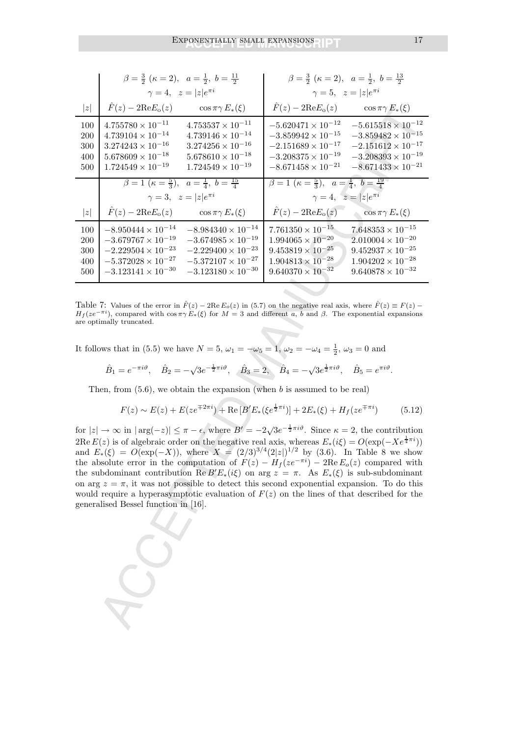|                                                                                                                                                                                                                                                                                                                                                                                                                                                                                                                                                                                                                                                                                                                                                                                                                                                         | $\beta = \frac{3}{2}$ $(\kappa = 2), a = \frac{1}{2}, b = \frac{11}{2}$                                                                             |                                                                                                                                                       | $\beta = \frac{3}{2}$ $(\kappa = 2), a = \frac{1}{2}, b = \frac{13}{2}$                                                                             |                                                                                                                                                     |  |
|---------------------------------------------------------------------------------------------------------------------------------------------------------------------------------------------------------------------------------------------------------------------------------------------------------------------------------------------------------------------------------------------------------------------------------------------------------------------------------------------------------------------------------------------------------------------------------------------------------------------------------------------------------------------------------------------------------------------------------------------------------------------------------------------------------------------------------------------------------|-----------------------------------------------------------------------------------------------------------------------------------------------------|-------------------------------------------------------------------------------------------------------------------------------------------------------|-----------------------------------------------------------------------------------------------------------------------------------------------------|-----------------------------------------------------------------------------------------------------------------------------------------------------|--|
|                                                                                                                                                                                                                                                                                                                                                                                                                                                                                                                                                                                                                                                                                                                                                                                                                                                         | $\gamma = 4, \quad z =  z e^{\pi i}$                                                                                                                |                                                                                                                                                       | $\gamma = 5$ , $z =  z e^{\pi i}$                                                                                                                   |                                                                                                                                                     |  |
| z                                                                                                                                                                                                                                                                                                                                                                                                                                                                                                                                                                                                                                                                                                                                                                                                                                                       | $\hat{F}(z) - 2\text{Re}E_{\text{o}}(z)$                                                                                                            | $\cos \pi \gamma E_*(\xi)$                                                                                                                            | $\hat{F}(z) - 2\text{Re}E_{\text{o}}(z)$ $\cos \pi \gamma E_*(\xi)$                                                                                 |                                                                                                                                                     |  |
| 100<br>200<br>300<br>400<br>500                                                                                                                                                                                                                                                                                                                                                                                                                                                                                                                                                                                                                                                                                                                                                                                                                         | $4.755780 \times 10^{-11}$<br>$4.739104 \times 10^{-14}$<br>$3.274243 \times 10^{-16}$<br>$5.678609 \times 10^{-18}$<br>$1.724549 \times 10^{-19}$  | $4.753537 \times 10^{-11}$<br>$4.739146 \times 10^{-14}$<br>$3.274256 \times 10^{-16}$<br>$5.678610 \times 10^{-18}$<br>$1.724549 \times 10^{-19}$    | $-5.620471 \times 10^{-12}$<br>$-3.859942\times10^{-15}$<br>$-2.151689 \times 10^{-17}$<br>$-3.208375 \times 10^{-19}$<br>$-8.671458\times10^{-21}$ | $-5.615518 \times 10^{-12}$<br>$-3.859482\times10^{-15}$<br>$-2.151612 \times 10^{-17}$<br>$-3.208393\times10^{-19}$<br>$-8.671433 \times 10^{-21}$ |  |
|                                                                                                                                                                                                                                                                                                                                                                                                                                                                                                                                                                                                                                                                                                                                                                                                                                                         | $\beta = 1 \ (\kappa = \frac{5}{3}), \ \ a = \frac{1}{4}, \ b = \frac{15}{4}$                                                                       |                                                                                                                                                       | $\beta = 1 \; (\kappa = \frac{5}{3}), \; a = \frac{1}{4}, \; b = \frac{19}{4}$                                                                      |                                                                                                                                                     |  |
|                                                                                                                                                                                                                                                                                                                                                                                                                                                                                                                                                                                                                                                                                                                                                                                                                                                         | $\gamma = 3, \quad z =  z e^{\pi i}$                                                                                                                |                                                                                                                                                       | $\gamma = 4, \quad z =  z e^{\pi i}$                                                                                                                |                                                                                                                                                     |  |
| z                                                                                                                                                                                                                                                                                                                                                                                                                                                                                                                                                                                                                                                                                                                                                                                                                                                       | $\hat{F}(z) - 2\text{Re}E_{\text{o}}(z)$                                                                                                            | $\cos \pi \gamma E_*(\xi)$                                                                                                                            | $\hat{F}(z) - 2\text{Re}E_{\text{o}}(z)$ $\cos \pi \gamma E_*(\xi)$                                                                                 |                                                                                                                                                     |  |
| 100<br>200<br>300<br>400<br>500                                                                                                                                                                                                                                                                                                                                                                                                                                                                                                                                                                                                                                                                                                                                                                                                                         | $-8.950444 \times 10^{-14}$<br>$-3.679767 \times 10^{-19}$<br>$-2.229504 \times 10^{-23}$<br>$-5.372028\times10^{-27}$<br>$-3.123141\times10^{-30}$ | $-8.984340 \times 10^{-14}$<br>$-3.674985 \times 10^{-19}$<br>$-2.229400 \times 10^{-23}$<br>$-5.372107 \times 10^{-27}$<br>$-3.123180\times10^{-30}$ | $7.761350 \times 10^{-15}$<br>$1.994065 \times 10^{-20}$<br>$9.453819 \times 10^{-25}$<br>$1.904813 \times 10^{-28}$<br>$9.640370 \times 10^{-32}$  | $7.648353 \times 10^{-15}$<br>$2.010004 \times 10^{-20}$<br>$9.452937\times10^{-25}$<br>$1.904202 \times 10^{-28}$<br>$9.640878 \times 10^{-32}$    |  |
| Table 7: Values of the error in $\hat{F}(z) - 2\text{Re }E_o(z)$ in (5.7) on the negative real axis, where $\hat{F}(z) \equiv F(z) -$<br>$H_f(ze^{-\pi i})$ , compared with $\cos \pi \gamma E_*(\xi)$ for $M=3$ and different a, b and $\beta$ . The exponential expansions<br>are optimally truncated.<br>It follows that in (5.5) we have $N = 5$ , $\omega_1 = -\omega_5 = 1$ , $\omega_2 = -\omega_4 = \frac{1}{2}$ , $\omega_3 = 0$ and<br>$\hat{B}_1 = e^{-\pi i \vartheta}, \quad \hat{B}_2 = -\sqrt{3}e^{-\frac{1}{2}\pi i \vartheta}, \quad \hat{B}_3 = 2, \quad \hat{B}_4 = -\sqrt{3}e^{\frac{1}{2}\pi i \vartheta}, \quad \hat{B}_5 = e^{\pi i \vartheta}.$                                                                                                                                                                                 |                                                                                                                                                     |                                                                                                                                                       |                                                                                                                                                     |                                                                                                                                                     |  |
|                                                                                                                                                                                                                                                                                                                                                                                                                                                                                                                                                                                                                                                                                                                                                                                                                                                         |                                                                                                                                                     |                                                                                                                                                       | Then, from $(5.6)$ , we obtain the expansion (when b is assumed to be real)                                                                         |                                                                                                                                                     |  |
|                                                                                                                                                                                                                                                                                                                                                                                                                                                                                                                                                                                                                                                                                                                                                                                                                                                         |                                                                                                                                                     |                                                                                                                                                       |                                                                                                                                                     |                                                                                                                                                     |  |
|                                                                                                                                                                                                                                                                                                                                                                                                                                                                                                                                                                                                                                                                                                                                                                                                                                                         |                                                                                                                                                     |                                                                                                                                                       | $F(z) \sim E(z) + E(ze^{\mp 2\pi i}) + \text{Re}[B'E_*(\xi e^{\frac{1}{2}\pi i})] + 2E_*(\xi) + H_f(ze^{\mp \pi i})$                                | (5.12)                                                                                                                                              |  |
| for $ z  \to \infty$ in $ \arg(-z)  \leq \pi - \epsilon$ , where $B' = -2\sqrt{3}e^{-\frac{1}{2}\pi i \vartheta}$ . Since $\kappa = 2$ , the contribution<br>$2\text{Re } E(z)$ is of algebraic order on the negative real axis, whereas $E_*(i\xi) = O(\exp(-Xe^{\frac{1}{4}\pi i}))$<br>and $E_*(\xi) = O(\exp(-X))$ , where $X = (2/3)^{3/4}(2 z )^{1/2}$ by (3.6). In Table 8 we show<br>the absolute error in the computation of $F(z) - H_f(ze^{-\pi i}) - 2\text{Re }E_o(z)$ compared with<br>the subdominant contribution $\text{Re } B'E_*(i\xi)$ on arg $z = \pi$ . As $E_*(\xi)$ is sub-subdominant<br>on arg $z = \pi$ , it was not possible to detect this second exponential expansion. To do this<br>would require a hyperasymptotic evaluation of $F(z)$ on the lines of that described for the<br>generalised Bessel function in [16]. |                                                                                                                                                     |                                                                                                                                                       |                                                                                                                                                     |                                                                                                                                                     |  |
|                                                                                                                                                                                                                                                                                                                                                                                                                                                                                                                                                                                                                                                                                                                                                                                                                                                         |                                                                                                                                                     |                                                                                                                                                       |                                                                                                                                                     |                                                                                                                                                     |  |

Table 7: Values of the error in  $\hat{F}(z) - 2\text{Re } E_o(z)$  in (5.7) on the negative real axis, where  $\hat{F}(z) \equiv F(z) H_f(ze^{-\pi i})$ , compared with  $\cos \pi \gamma E_*(\xi)$  for  $M=3$  and different a, b and  $\beta$ . The exponential expansions are optimally truncated.

$$
\hat{B}_1 = e^{-\pi i \vartheta}, \quad \hat{B}_2 = -\sqrt{3}e^{-\frac{1}{2}\pi i \vartheta}, \quad \hat{B}_3 = 2, \quad \hat{B}_4 = -\sqrt{3}e^{\frac{1}{2}\pi i \vartheta}, \quad \hat{B}_5 = e^{\pi i \vartheta}.
$$

$$
F(z) \sim E(z) + E(ze^{\mp 2\pi i}) + \text{Re}[B'E_*(\xi e^{\frac{1}{2}\pi i})] + 2E_*(\xi) + H_f(ze^{\mp \pi i}) \tag{5.12}
$$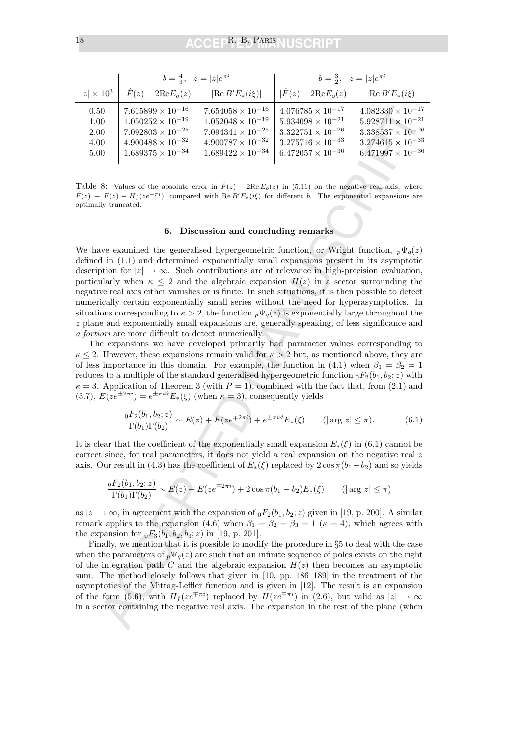|                                      | $b = \frac{4}{3}, z =  z e^{\pi i}$                                                                                                                |                                                                                                                                                    | $b = \frac{3}{2}, z =  z e^{\pi i}$                                                                                                                |                                                                                                                                                  |
|--------------------------------------|----------------------------------------------------------------------------------------------------------------------------------------------------|----------------------------------------------------------------------------------------------------------------------------------------------------|----------------------------------------------------------------------------------------------------------------------------------------------------|--------------------------------------------------------------------------------------------------------------------------------------------------|
| $ z  \times 10^3$                    | $ \hat{F}(z)-2\text{Re}E_o(z) $                                                                                                                    | $ \text{Re } B'E_*(i\xi) $                                                                                                                         | $ \hat{F}(z)-2\text{Re}E_{o}(z) $                                                                                                                  | $ \text{Re } B'E_*(i\xi) $                                                                                                                       |
| 0.50<br>1.00<br>2.00<br>4.00<br>5.00 | $7.615899 \times 10^{-16}$<br>$1.050252 \times 10^{-19}$<br>$7.092803 \times 10^{-25}$<br>$4.900488 \times 10^{-32}$<br>$1.689375 \times 10^{-34}$ | $7.654058 \times 10^{-16}$<br>$1.052048 \times 10^{-19}$<br>$7.094341 \times 10^{-25}$<br>$4.900787 \times 10^{-32}$<br>$1.689422 \times 10^{-34}$ | $4.076785 \times 10^{-17}$<br>$5.934098 \times 10^{-21}$<br>$3.322751 \times 10^{-26}$<br>$3.275716 \times 10^{-33}$<br>$6.472057 \times 10^{-36}$ | $4.082330 \times 10^{-17}$<br>$5.928711 \times 10^{-21}$<br>$3.338537 \times 10^{-26}$<br>$3.274615 \times 10^{-33}$<br>$6.471997\times10^{-36}$ |

Table 8: Values of the absolute error in  $\hat{F}(z) - 2\text{Re} E_o(z)$  in (5.11) on the negative real axis, where  $\hat{F}(z) \equiv F(z) - H_f(ze^{-\pi i})$ , compared with Re B'E<sub>\*</sub>(iξ) for different b. The exponential expansions are optimally truncated.

## 6. Discussion and concluding remarks

30 17618869 × 111 <sup>26</sup> 7.64898 × 111<sup>-11</sup> 1693388 × 11<sup>-14</sup> 4677788 × 111<sup>-14</sup> 462230 × 11<sup>-13</sup><br>
20 16.08628 × 111<sup>-14</sup> 1.632048 × 10<sup>-14</sup> 5.348088 × 110<sup>-24</sup> 5.928761 × 110<sup>-22</sup><br>
30 16.08628 × 111<sup>-22</sup> 1.929806 × 111<sup>-22</sup> We have examined the generalised hypergeometric function, or Wright function,  $_p\Psi_q(z)$ defined in (1.1) and determined exponentially small expansions present in its asymptotic description for  $|z| \to \infty$ . Such contributions are of relevance in high-precision evaluation, particularly when  $\kappa \leq 2$  and the algebraic expansion  $H(z)$  in a sector surrounding the negative real axis either vanishes or is finite. In such situations, it is then possible to detect numerically certain exponentially small series without the need for hyperasymptotics. In situations corresponding to  $\kappa > 2$ , the function  $p\Psi_q(z)$  is exponentially large throughout the z plane and exponentially small expansions are, generally speaking, of less significance and a fortiori are more difficult to detect numerically.

The expansions we have developed primarily had parameter values corresponding to  $\kappa \leq 2$ . However, these expansions remain valid for  $\kappa > 2$  but, as mentioned above, they are of less importance in this domain. For example, the function in (4.1) when  $\beta_1 = \beta_2 = 1$ reduces to a multiple of the standard generalised hypergeometric function  ${}_0F_2(b_1, b_2; z)$  with  $\kappa = 3$ . Application of Theorem 3 (with  $P = 1$ ), combined with the fact that, from (2.1) and (3.7),  $E(ze^{\pm 2\pi i}) = e^{\pm \pi i \vartheta} E_*(\xi)$  (when  $\kappa = 3$ ), consequently yields

$$
\frac{{}_{0}F_{2}(b_{1},b_{2};z)}{\Gamma(b_{1})\Gamma(b_{2})} \sim E(z) + E(ze^{\mp 2\pi i}) + e^{\pm \pi i \vartheta} E_{*}(\xi) \qquad (|\arg z| \le \pi). \tag{6.1}
$$

It is clear that the coefficient of the exponentially small expansion  $E_*(\xi)$  in (6.1) cannot be correct since, for real parameters, it does not yield a real expansion on the negative real z axis. Our result in (4.3) has the coefficient of  $E_*(\xi)$  replaced by  $2 \cos \pi (b_1 - b_2)$  and so yields

$$
\frac{{}_{0}F_{2}(b_1, b_2; z)}{\Gamma(b_1)\Gamma(b_2)} \sim E(z) + E(ze^{\mp 2\pi i}) + 2\cos\pi(b_1 - b_2)E_*(\xi) \qquad (|\arg z| \le \pi)
$$

as  $|z| \to \infty$ , in agreement with the expansion of  ${}_0F_2(b_1, b_2; z)$  given in [19, p. 200]. A similar remark applies to the expansion (4.6) when  $\beta_1 = \beta_2 = \beta_3 = 1$  ( $\kappa = 4$ ), which agrees with the expansion for  $_0F_3(b_1, b_2, b_3; z)$  in [19, p. 201].

Finally, we mention that it is possible to modify the procedure in §5 to deal with the case when the parameters of  $p\Psi_q(z)$  are such that an infinite sequence of poles exists on the right of the integration path C and the algebraic expansion  $H(z)$  then becomes an asymptotic sum. The method closely follows that given in [10, pp. 186–189] in the treatment of the asymptotics of the Mittag-Leffler function and is given in [12]. The result is an expansion of the form (5.6), with  $H_f(ze^{\mp \pi i})$  replaced by  $H(ze^{\mp \pi i})$  in (2.6), but valid as  $|z| \to \infty$ in a sector containing the negative real axis. The expansion in the rest of the plane (when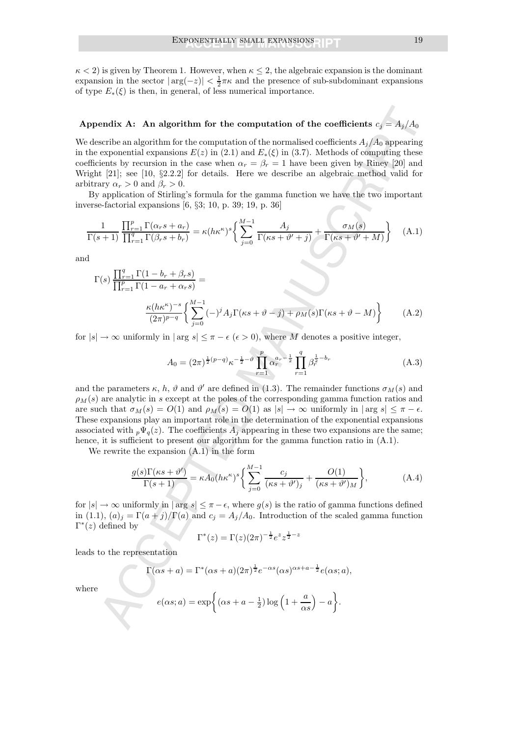$\kappa$  < 2) is given by Theorem 1. However, when  $\kappa \leq 2$ , the algebraic expansion is the dominant expansion in the sector  $|\arg(-z)| < \frac{1}{2}\pi\kappa$  and the presence of sub-subdominant expansions of type  $E_*(\xi)$  is then, in general, of less numerical importance.

## Appendix A: An algorithm for the computation of the coefficients  $c_j = A_j/A_0$

We describe an algorithm for the computation of the normalised coefficients  $A_j/A_0$  appearing in the exponential expansions  $E(z)$  in (2.1) and  $E_*(\xi)$  in (3.7). Methods of computing these coefficients by recursion in the case when  $\alpha_r = \beta_r = 1$  have been given by Riney [20] and Wright [21]; see [10, §2.2.2] for details. Here we describe an algebraic method valid for arbitrary  $\alpha_r > 0$  and  $\beta_r > 0$ .

By application of Stirling's formula for the gamma function we have the two important inverse-factorial expansions [6, §3; 10, p. 39; 19, p. 36]

$$
\frac{1}{\Gamma(s+1)} \frac{\prod_{r=1}^{p} \Gamma(\alpha_r s + a_r)}{\prod_{r=1}^{q} \Gamma(\beta_r s + b_r)} = \kappa(h\kappa^{\kappa})^s \left\{ \sum_{j=0}^{M-1} \frac{A_j}{\Gamma(\kappa s + \vartheta' + j)} + \frac{\sigma_M(s)}{\Gamma(\kappa s + \vartheta' + M)} \right\} \tag{A.1}
$$

and

penalix A: An algorithm for the computation of the coefficients 
$$
c_j = A_j/A_0
$$
  
\nescribe an algorithm for the computation of the normalised coefficients  $c_j = A_j/A_0$   
\nexponential expansions  $E(z)$  in (2.1) and  $E_*(\xi)$  in (3.7). Methods of computing these  
\ne exponential expansions  $E(z)$  in (2.1) and  $E_*(\xi)$  in (3.7). Methods of computing these  
\nthere are  $\alpha_r = \beta_r = 1$  have been given by Ring' [20] and  
\nthe [21]; see [10, §2.2.2] for details. Here we describe an algebraic method valid for  
\nray  $\alpha_r > 0$  and  $\beta_r > 0$ .  
\nby application of Stirling's formula for the gamma function we have the two important  
\nse-factorial expansions [6, §3; 10, p. 39; 19, p. 36]  
\n
$$
\frac{1}{(s+1)} \prod_{r=1}^{p} \Gamma(\alpha_r s + a_r) = \kappa(h\kappa^{\kappa})^s \left\{ \sum_{j=0}^{M-1} \frac{A_j}{\Gamma(\kappa s + \vartheta' + j)} + \frac{\sigma_M(s)}{\Gamma(\kappa s + \vartheta' + M)} \right\}
$$
 (A.1)  
\n
$$
\Gamma(s) \prod_{r=1}^{p} \Gamma(1 - b_r + \beta_r s) = \frac{\kappa(h\kappa^{\kappa})^{-s}}{(2\pi)^{p-q}} \left\{ \sum_{j=0}^{M-1} (-)^j A_j \Gamma(\kappa s + \vartheta - j) + \rho_M(s) \Gamma(\kappa s + \vartheta - M) \right\}
$$
 (A.2)  
\n $|\rightarrow \infty$  uniformly in  $|\arg s| \le \pi - \epsilon$  ( $\epsilon > 0$ ), where M denotes a positive integer,  
\n $A_0 = (2\pi)^{\frac{1}{2}(\rho - q)} \kappa^{-\frac{1}{2} - \frac{q}{2}} \prod_{r=1}^{q} \beta_r^{\frac{1}{2} - b_r}$  (A.3)  
\nthe parameters  $\kappa$ , h,  $\vartheta$  and  $\vartheta'$  are defined in (1.3). The remainder functions  $\sigma_M(s)$  and  
\n) are analytic in s except at the poles of the corresponding gamma function ratios and  
\nwith  $\sigma_M(s) = O(1)$  and  $\rho_M(s) = O(1)$  as  $|s| \$ 

for  $|s| \to \infty$  uniformly in  $|\arg s| \leq \pi - \epsilon$  ( $\epsilon > 0$ ), where M denotes a positive integer,

$$
A_0 = (2\pi)^{\frac{1}{2}(p-q)} \kappa^{-\frac{1}{2}-\vartheta} \prod_{r=1}^p \alpha_r^{a_r - \frac{1}{2}} \prod_{r=1}^q \beta_r^{\frac{1}{2}-b_r}
$$
 (A.3)

and the parameters  $\kappa$ , h,  $\vartheta$  and  $\vartheta'$  are defined in (1.3). The remainder functions  $\sigma_M(s)$  and  $\rho_M(s)$  are analytic in s except at the poles of the corresponding gamma function ratios and are such that  $\sigma_M(s) = O(1)$  and  $\rho_M(s) = O(1)$  as  $|s| \to \infty$  uniformly in  $|\arg s| \leq \pi - \epsilon$ . These expansions play an important role in the determination of the exponential expansions associated with  $_p\Psi_q(z)$ . The coefficients  $A_j$  appearing in these two expansions are the same; hence, it is sufficient to present our algorithm for the gamma function ratio in  $(A.1)$ .

We rewrite the expansion (A.1) in the form

$$
\frac{g(s)\Gamma(\kappa s+\vartheta')}{\Gamma(s+1)} = \kappa A_0 (h\kappa^{\kappa})^s \left\{ \sum_{j=0}^{M-1} \frac{c_j}{(\kappa s+\vartheta')_j} + \frac{O(1)}{(\kappa s+\vartheta')_M} \right\},\tag{A.4}
$$

for  $|s| \to \infty$  uniformly in  $|\arg s| \leq \pi - \epsilon$ , where  $g(s)$  is the ratio of gamma functions defined in (1.1),  $(a)_j = \Gamma(a+j)/\Gamma(a)$  and  $c_j = A_j/A_0$ . Introduction of the scaled gamma function  $\Gamma^*(z)$  defined by

$$
\Gamma^*(z) = \Gamma(z)(2\pi)^{-\frac{1}{2}} e^z z^{\frac{1}{2} - z}
$$

leads to the representation

$$
\Gamma(\alpha s + a) = \Gamma^*(\alpha s + a)(2\pi)^{\frac{1}{2}}e^{-\alpha s}(\alpha s)^{\alpha s + a - \frac{1}{2}}e(\alpha s; a),
$$

where

$$
e(\alpha s; a) = \exp\bigg\{(\alpha s + a - \frac{1}{2})\log\left(1 + \frac{a}{\alpha s}\right) - a\bigg\}.
$$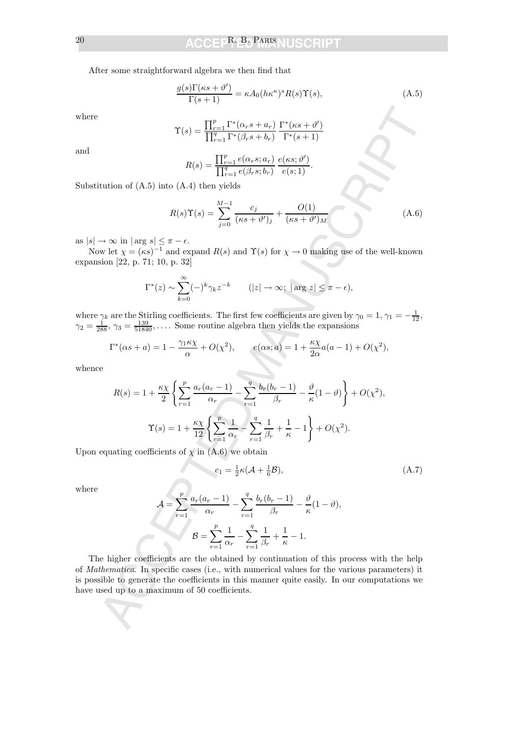After some straightforward algebra we then find that

$$
\frac{g(s)\Gamma(\kappa s + \vartheta')}{\Gamma(s+1)} = \kappa A_0(h\kappa^{\kappa})^s R(s)\Upsilon(s),\tag{A.5}
$$

where

$$
\Upsilon(s) = \frac{\prod_{r=1}^{p} \Gamma^*(\alpha_r s + a_r)}{\prod_{r=1}^{q} \Gamma^*(\beta_r s + b_r)} \frac{\Gamma^*(\kappa s + \vartheta')}{\Gamma^*(s + 1)}
$$

and

$$
R(s) = \frac{\prod_{r=1}^{p} e(\alpha_r s; a_r)}{\prod_{r=1}^{q} e(\beta_r s; b_r)} \frac{e(\kappa s; \vartheta')}{e(s; 1)}.
$$

Substitution of (A.5) into (A.4) then yields

$$
R(s)\Upsilon(s) = \sum_{j=0}^{M-1} \frac{c_j}{(\kappa s + \vartheta')_j} + \frac{O(1)}{(\kappa s + \vartheta')_M}
$$
(A.6)

as  $|s| \to \infty$  in  $|\arg s| \leq \pi - \epsilon$ .

Now let  $\chi = (\kappa s)^{-1}$  and expand  $R(s)$  and  $\Upsilon(s)$  for  $\chi \to 0$  making use of the well-known expansion [22, p. 71; 10, p. 32]

$$
\Gamma^*(z) \sim \sum_{k=0}^{\infty} (-)^k \gamma_k z^{-k} \qquad (|z| \to \infty; \ |\arg z| \le \pi - \epsilon),
$$

where  $\gamma_k$  are the Stirling coefficients. The first few coefficients are given by  $\gamma_0 = 1$ ,  $\gamma_1 = -\frac{1}{12}$ ,  $\gamma_2 = \frac{1}{288}$ ,  $\gamma_3 = \frac{139}{51840}$ , .... Some routine algebra then yields the expansions

$$
\Gamma^*(\alpha s + a) = 1 - \frac{\gamma_1 \kappa \chi}{\alpha} + O(\chi^2), \qquad e(\alpha s; a) = 1 + \frac{\kappa \chi}{2\alpha}a(a-1) + O(\chi^2),
$$

whence

$$
\Upsilon(s) = \frac{\prod_{r=1}^{p} \Gamma^{*}(\alpha_{r}s + a_{r})}{\prod_{r=1}^{p} \Gamma^{*}(\beta_{r}s + b_{r})} \frac{\Gamma^{*}(\kappa s + \vartheta')}{\Gamma^{*}(s + 1)}
$$
\n
$$
R(s) = \frac{\prod_{r=1}^{p} e(\alpha_{r}s; a_{r})}{\prod_{r=1}^{p} e(\beta_{r}s; b_{r})} \frac{e(\kappa s; \vartheta')}{e(s; 1)}.
$$
\nitution of (A.5) into (A.4) then yields\n
$$
R(s)\Upsilon(s) = \sum_{j=0}^{M-1} \frac{c_{j}}{(\kappa s + \vartheta')_{j}} + \frac{O(1)}{(\kappa s + \vartheta')_{M}}
$$
\n
$$
\rightarrow \infty \text{ in } |\arg s| \leq \pi - \epsilon.
$$
\n
$$
\text{where } \alpha \text{ is the constant } \alpha \text{ is the constant } \alpha \text{ is the constant } \alpha \text{ is the constant } \alpha \text{ is the constant } \alpha \text{ is the constant}
$$
\n
$$
\Gamma^{*}(z) \sim \sum_{k=0}^{\infty} (-)^{k} \gamma_{k} z^{-k} \qquad (|z| \rightarrow \infty; |\arg z| \leq \pi - \epsilon),
$$
\n
$$
\gamma_{k} \text{ are the Stirling coefficients. The first few coefficients are given by } \gamma_{0} = 1, \gamma_{1} = -\frac{1}{12},
$$
\n
$$
\gamma_{k} \text{ are the Strilling coefficients. The first few coefficients are given by } \gamma_{0} = 1, \gamma_{1} = -\frac{1}{12},
$$
\n
$$
\gamma_{1} \text{ are the constant, } \gamma_{1} \text{ is the expansion}
$$
\n
$$
\Gamma^{*}(\alpha s + a) = 1 - \frac{\gamma_{1} \kappa \chi}{\alpha} + O(\chi^{2}), \qquad \epsilon(\alpha s; a) = 1 + \frac{\kappa \chi}{2\alpha}(a - 1) + O(\chi^{2}),
$$
\n
$$
\gamma(s) = 1 + \frac{\kappa \chi}{2} \left\{ \sum_{r=1}^{p} \frac{a_{r} (a_{r} - 1)}{\alpha_{r}} - \sum_{r=1}^{p} \frac{b_{r} (b_{r} - 1)}{\beta_{r}} - \frac{\vartheta}{\kappa} (1 - \var
$$

Upon equating coefficients of  $\chi$  in  $(A.6)$  we obtain

$$
c_1 = \frac{1}{2}\kappa(\mathcal{A} + \frac{1}{6}\mathcal{B}),\tag{A.7}
$$

where

$$
\mathcal{A} = \sum_{r=1}^{p} \frac{a_r(a_r - 1)}{\alpha_r} - \sum_{r=1}^{q} \frac{b_r(b_r - 1)}{\beta_r} - \frac{\vartheta}{\kappa} (1 - \vartheta),
$$

$$
\mathcal{B} = \sum_{r=1}^{p} \frac{1}{\alpha_r} - \sum_{r=1}^{q} \frac{1}{\beta_r} + \frac{1}{\kappa} - 1.
$$

The higher coefficients are the obtained by continuation of this process with the help of Mathematica. In specific cases (i.e., with numerical values for the various parameters) it is possible to generate the coefficients in this manner quite easily. In our computations we have used up to a maximum of 50 coefficients.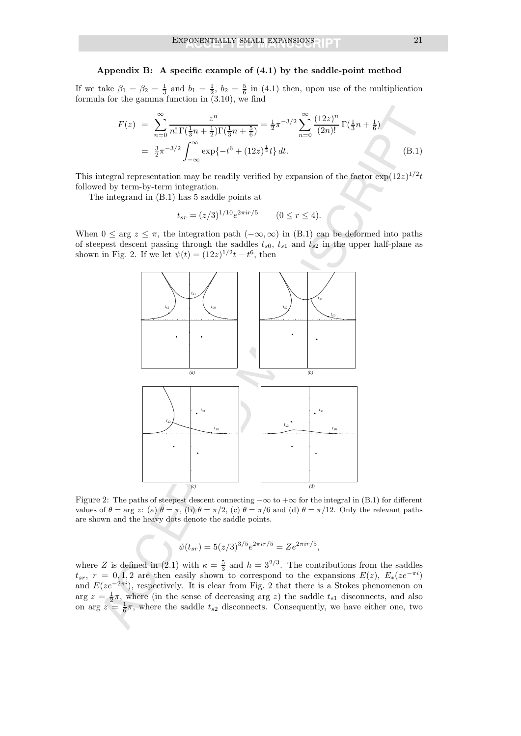#### Appendix B: A specific example of (4.1) by the saddle-point method

If we take  $\beta_1 = \beta_2 = \frac{1}{3}$  and  $b_1 = \frac{1}{2}$ ,  $b_2 = \frac{5}{6}$  in (4.1) then, upon use of the multiplication formula for the gamma function in  $(3.10)$ , we find

$$
F(z) = \sum_{n=0}^{\infty} \frac{z^n}{n! \Gamma(\frac{1}{3}n + \frac{1}{2}) \Gamma(\frac{1}{3}n + \frac{5}{6})} = \frac{1}{2} \pi^{-3/2} \sum_{n=0}^{\infty} \frac{(12z)^n}{(2n)!} \Gamma(\frac{1}{3}n + \frac{1}{6})
$$
  
=  $\frac{3}{2} \pi^{-3/2} \int_{-\infty}^{\infty} \exp\{-t^6 + (12z)^{\frac{1}{2}}t\} dt.$  (B.1)

This integral representation may be readily verified by expansion of the factor  $\exp(12z)^{1/2}t$ followed by term-by-term integration.

The integrand in (B.1) has 5 saddle points at

$$
t_{sr} = (z/3)^{1/10} e^{2\pi i r/5} \qquad (0 \le r \le 4).
$$

When  $0 \le \arg z \le \pi$ , the integration path  $(-\infty, \infty)$  in  $(B.1)$  can be deformed into paths of steepest descent passing through the saddles  $t_{s0}$ ,  $t_{s1}$  and  $t_{s2}$  in the upper half-plane as shown in Fig. 2. If we let  $\psi(t) = (12z)^{1/2}t - t^6$ , then



Figure 2: The paths of steepest descent connecting  $-\infty$  to  $+\infty$  for the integral in (B.1) for different values of  $\theta = \arg z$ : (a)  $\theta = \pi$ , (b)  $\theta = \pi/2$ , (c)  $\theta = \pi/6$  and (d)  $\theta = \pi/12$ . Only the relevant paths are shown and the heavy dots denote the saddle points.

$$
\psi(t_{sr}) = 5(z/3)^{3/5} e^{2\pi i r/5} = Ze^{2\pi i r/5},
$$

where Z is defined in (2.1) with  $\kappa = \frac{5}{3}$  and  $h = 3^{2/3}$ . The contributions from the saddles  $t_{sr}$ ,  $r = 0, 1, 2$  are then easily shown to correspond to the expansions  $E(z)$ ,  $E_*(ze^{-\pi i})$ and  $E(ze^{-2\pi i})$ , respectively. It is clear from Fig. 2 that there is a Stokes phenomenon on arg  $z = \frac{1}{2}\pi$ , where (in the sense of decreasing arg z) the saddle  $t_{s1}$  disconnects, and also on arg  $z = \frac{1}{6}\pi$ , where the saddle  $t_{s2}$  disconnects. Consequently, we have either one, two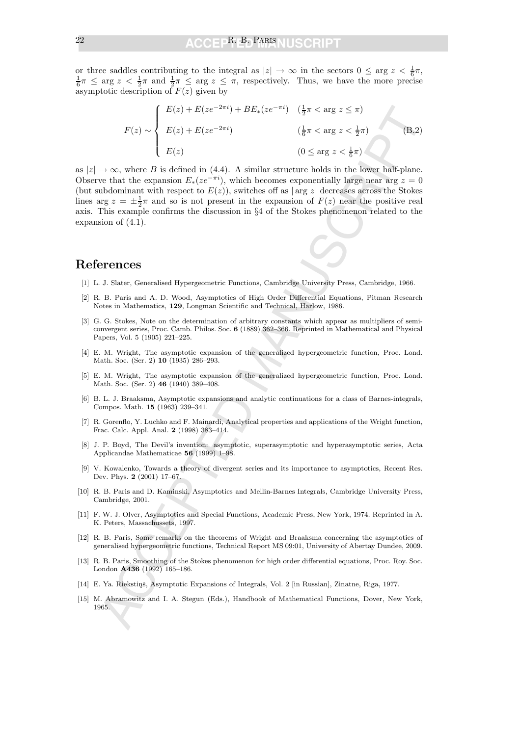or three saddles contributing to the integral as  $|z| \to \infty$  in the sectors  $0 \le \arg z < \frac{1}{6}\pi$ ,  $\frac{1}{6}\pi \leq \arg z < \frac{1}{2}\pi$  and  $\frac{1}{2}\pi \leq \arg z \leq \pi$ , respectively. Thus, we have the more precise asymptotic description of  $F(z)$  given by

$$
F(z) \sim \begin{cases} E(z) + E(ze^{-2\pi i}) + BE_*(ze^{-\pi i}) & (\frac{1}{2}\pi < \arg z \le \pi) \\ E(z) + E(ze^{-2\pi i}) & (\frac{1}{6}\pi < \arg z < \frac{1}{2}\pi) \\ E(z) & (0 \le \arg z < \frac{1}{6}\pi) \end{cases}
$$
(B.2)

 $F(z) = \begin{cases} E(z) + E(ze^{-2\pi i}) + BE_1(ze^{-2\pi i}) & (\frac{1}{2}\pi < \arg z \le \pi) \\ E(z) + E(ze^{-2\pi i}) & (\frac{1}{2}\pi < \arg z \le \frac{1}{2}\pi) \end{cases}$  (19.2)<br>  $E(z) = \frac{1}{\sqrt{2\pi}} \sum_{n=1}^{\infty} E(z)^{-n}$  ( $\frac{1}{2\sqrt{2\pi}} \sum_{n=1}^{\infty} E(z)^{-n}$ ) ( $\frac{1}{2\sqrt{2\pi}} \sum_{n=1}^{\infty} E(z)^{-n}$ ), which as  $|z| \to \infty$ , where B is defined in (4.4). A similar structure holds in the lower half-plane. Observe that the expansion  $E_*(ze^{-\pi i})$ , which becomes exponentially large near arg  $z = 0$ (but subdominant with respect to  $E(z)$ ), switches off as  $|\arg z|$  decreases across the Stokes lines arg  $z = \pm \frac{1}{2}\pi$  and so is not present in the expansion of  $F(z)$  near the positive real axis. This example confirms the discussion in §4 of the Stokes phenomenon related to the expansion of (4.1).

## References

- [1] L. J. Slater, Generalised Hypergeometric Functions, Cambridge University Press, Cambridge, 1966.
- [2] R. B. Paris and A. D. Wood, Asymptotics of High Order Differential Equations, Pitman Research Notes in Mathematics, 129, Longman Scientific and Technical, Harlow, 1986.
- [3] G. G. Stokes, Note on the determination of arbitrary constants which appear as multipliers of semiconvergent series, Proc. Camb. Philos. Soc. 6 (1889) 362–366. Reprinted in Mathematical and Physical Papers, Vol. 5 (1905) 221–225.
- [4] E. M. Wright, The asymptotic expansion of the generalized hypergeometric function, Proc. Lond. Math. Soc. (Ser. 2) 10 (1935) 286–293.
- [5] E. M. Wright, The asymptotic expansion of the generalized hypergeometric function, Proc. Lond. Math. Soc. (Ser. 2) 46 (1940) 389–408.
- [6] B. L. J. Braaksma, Asymptotic expansions and analytic continuations for a class of Barnes-integrals, Compos. Math. 15 (1963) 239–341.
- [7] R. Gorenflo, Y. Luchko and F. Mainardi, Analytical properties and applications of the Wright function, Frac. Calc. Appl. Anal. 2 (1998) 383–414.
- [8] J. P. Boyd, The Devil's invention: asymptotic, superasymptotic and hyperasymptotic series, Acta Applicandae Mathematicae 56 (1999) 1–98.
- [9] V. Kowalenko, Towards a theory of divergent series and its importance to asymptotics, Recent Res. Dev. Phys. 2 (2001) 17–67.
- [10] R. B. Paris and D. Kaminski, Asymptotics and Mellin-Barnes Integrals, Cambridge University Press, Cambridge, 2001.
- [11] F. W. J. Olver, Asymptotics and Special Functions, Academic Press, New York, 1974. Reprinted in A. K. Peters, Massachussets, 1997.
- [12] R. B. Paris, Some remarks on the theorems of Wright and Braaksma concerning the asymptotics of generalised hypergeometric functions, Technical Report MS 09:01, University of Abertay Dundee, 2009.
- [13] R. B. Paris, Smoothing of the Stokes phenomenon for high order differential equations, Proc. Roy. Soc. London A436 (1992) 165–186.
- [14] E. Ya. Riekstinš, Asymptotic Expansions of Integrals, Vol. 2 [in Russian], Zinatne, Riga, 1977.
- [15] M. Abramowitz and I. A. Stegun (Eds.), Handbook of Mathematical Functions, Dover, New York, 1965.